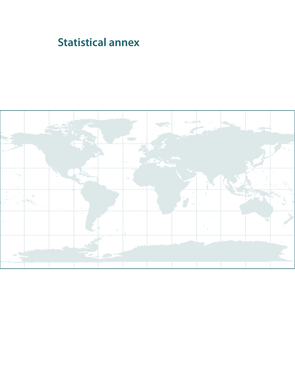# **Statistical annex**

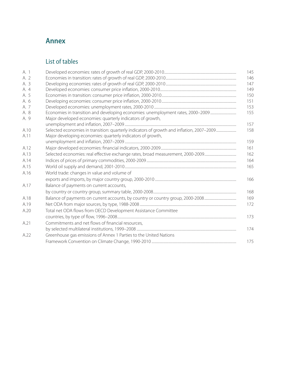# **Annex**

# List of tables

|                                                             | 145                                                                                                                                                                                      |
|-------------------------------------------------------------|------------------------------------------------------------------------------------------------------------------------------------------------------------------------------------------|
|                                                             | 146                                                                                                                                                                                      |
|                                                             | 147                                                                                                                                                                                      |
|                                                             | 149                                                                                                                                                                                      |
|                                                             | 150                                                                                                                                                                                      |
|                                                             | 151                                                                                                                                                                                      |
|                                                             | 153                                                                                                                                                                                      |
|                                                             | 155                                                                                                                                                                                      |
| Major developed economies: quarterly indicators of growth,  |                                                                                                                                                                                          |
|                                                             | 157                                                                                                                                                                                      |
|                                                             | 158                                                                                                                                                                                      |
| Major developing economies: quarterly indicators of growth, |                                                                                                                                                                                          |
|                                                             | 159                                                                                                                                                                                      |
|                                                             | 161                                                                                                                                                                                      |
|                                                             | 162                                                                                                                                                                                      |
|                                                             | 164                                                                                                                                                                                      |
|                                                             | 165                                                                                                                                                                                      |
| World trade: changes in value and volume of                 |                                                                                                                                                                                          |
|                                                             | 166                                                                                                                                                                                      |
| Balance of payments on current accounts,                    |                                                                                                                                                                                          |
|                                                             | 168                                                                                                                                                                                      |
|                                                             | 169                                                                                                                                                                                      |
|                                                             | 172                                                                                                                                                                                      |
|                                                             |                                                                                                                                                                                          |
|                                                             | 173                                                                                                                                                                                      |
|                                                             |                                                                                                                                                                                          |
|                                                             | 174                                                                                                                                                                                      |
|                                                             |                                                                                                                                                                                          |
|                                                             | 175                                                                                                                                                                                      |
|                                                             | Total net ODA flows from OECD Development Assistance Committee<br>Commitments and net flows of financial resources,<br>Greenhouse gas emissions of Annex 1 Parties to the United Nations |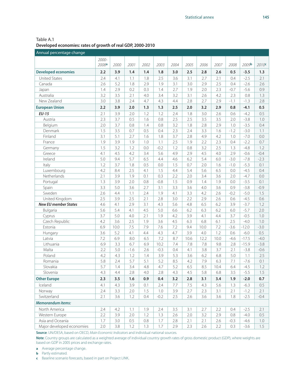Table A.1 **Developed economies: rates of growth of real GDP, 2000-2010**

| Annual percentage change           |                            |            |            |            |            |            |            |             |             |               |                   |                   |
|------------------------------------|----------------------------|------------|------------|------------|------------|------------|------------|-------------|-------------|---------------|-------------------|-------------------|
|                                    | 2000-<br>2008 <sup>a</sup> | 2000       | 2001       | 2002       | 2003       | 2004       | 2005       | 2006        | 2007        | 2008          | 2009 <b>b</b>     | 2010 <sup>c</sup> |
| <b>Developed economies</b>         | 2.2                        | 3.9        | 1.4        | 1.4        | 1.8        | 3.0        | 2.5        | 2.8         | 2.6         | 0.5           | $-3.5$            | 1.3               |
| <b>United States</b>               | 2.4                        | 4.1        | 1.1        | 1.8        | 2.5        | 3.6        | 3.1        | 2.7         | 2.1         | 0.4           | $-2.5$            | 2.1               |
| Canada                             | 2.6                        | 5.2        | 1.8        | 2.9        | 1.9        | 3.1        | 3.0        | 2.9         | 2.5         | 0.4           | $-2.6$            | 2.6               |
| Japan                              | 1.4                        | 2.9        | 0.2        | 0.3        | 1.4        | 2.7        | 1.9        | 2.0         | 2.3         | $-0.7$        | $-5.6$            | 0.9               |
| Australia                          | 3.2                        | 3.5        | 2.1        | 4.0        | 3.4        | 3.2        | 3.1        | 2.6         | 4.2         | 2.3           | 0.8               | 1.3               |
| New Zealand                        | 3.0                        | 3.8        | 2.4        | 4.7        | 4.3        | 4.4        | 2.8        | 2.7         | 2.9         | $-1.1$        | $-1.3$            | 2.8               |
| <b>European Union</b>              | 2.2                        | 3.9        | 2.0        | 1.3        | 1.3        | 2.5        | 2.0        | 3.2         | 2.9         | 0.8           | $-4.1$            | 0.5               |
| $EU-15$                            | 2.1                        | 3.9        | 2.0        | 1.2        | 1.2        | 2.4        | 1.8        | 3.0         | 2.6         | 0.6           | $-4.2$            | 0.5               |
| Austria                            | 2.3                        | 3.7        | 0.5        | 1.6        | 0.8        | 2.5        | 2.5        | 3.5         | 3.5         | 2.0           | $-3.8$            | 1.0               |
| Belgium                            | 2.0                        | 3.7        | 0.8        | 1.4        | 0.8        | 3.2        | 1.8        | 2.8         | 2.9         | 1.0           | $-3.5$            | 0.4               |
| Denmark                            | 1.5                        | 3.5        | 0.7        | 0.5        | 0.4        | 2.3        | 2.4        | 3.3         | 1.6         | $-1.2$        | $-3.0$            | 1.1               |
| Finland                            | 3.1                        | 5.1        | 2.7        | 1.6        | 1.8        | 3.7        | 2.8        | 4.9         | 4.2         | 1.0           | $-7.0$            | $0.0\,$           |
| France                             | 1.9                        | 3.9        | 1.9        | 1.0        | 1.1        | 2.5        | 1.9        | 2.2         | 2.3         | 0.4           | $-2.2$            | 0.7               |
| Germany                            | 1.5                        | 3.2        | 1.2        | 0.0        | $-0.2$     | 1.2        | 0.8        | 3.2         | 2.5         | 1.3           | $-4.8$            | 1.2               |
| Greece                             | 4.1                        | 4.5        | 4.2        | 3.4        | 5.6        | 4.9        | 2.9        | 4.5         | 4.0         | 2.9           | $-0.6$            | $-0.4$            |
| Ireland                            | 5.0                        | 9.4        | 5.7        | 6.5        | 4.4        | 4.6        | 6.2        | 5.4         | 6.0         | $-3.0$        | $-7.8$            | $-2.3$            |
| Italy                              | 1.2                        | 3.7        | 1.8        | 0.5        | 0.0        | 1.5        | 0.7        | 2.0         | 1.6         | $-1.0$        | $-5.3$            | 0.1               |
| Luxembourg                         | 4.2                        | 8.4        | 2.5        | 4.1        | 1.5        | 4.4        | 5.4        | 5.6         | 6.5         | 0.0           | $-4.5$            | 0.4               |
| Netherlands                        | 2.1                        | 3.9        | 1.9        | 0.1        | 0.3        | 2.2        | 2.0        | 3.4         | 3.6         | 2.0           | $-4.7$            | 0.0               |
| Portugal                           | 1.3                        | 3.9        | 2.0        | 0.8        | $-0.8$     | 1.5        | 0.9        | 1.4         | 1.9         | 0.0           | $-3.5$            | 0.1               |
| Spain                              | 3.3                        | 5.0        | 3.6        | 2.7        | 3.1        | 3.3        | 3.6        | 4.0         | 3.6         | 0.9           | $-3.8$            | $-0.9$            |
| Sweden                             | 2.6                        | 4.4        | 1.1        | 2.4        | 1.9        | 4.1        | 3.3        | 4.2         | 2.6         | $-0.2$        | $-5.0$            | 1.5               |
| United Kingdom                     | 2.5                        | 3.9        | 2.5        | 2.1        | 2.8        | 3.0        | 2.2        | 2.9         | 2.6         | 0.6           | $-4.5$            | 0.6               |
| <b>New EU member States</b>        | 4.6                        | 4.1        | 2.9        | 3.1        | 4.3        | 5.6        | 4.8        | 6.5         | 6.2         | 3.9           | $-3.7$            | 1.2               |
| Bulgaria                           | 5.6                        | 5.4        | 4.1        | 4.5        | 5.0        | 6.6        | 6.2        | 6.3         | 6.2         | 6.0           | $-5.7$            | 2.0               |
| Cyprus                             | 3.7                        | 5.0        | 4.0        | 2.1        | 1.9        | 4.2        | 3.9        | 4.1         | 4.4         | 3.7           | $-0.5$            | $1.0\,$           |
| Czech Republic                     | 4.2                        | 3.6        | 2.5<br>7.5 | 1.9<br>7.9 | 3.6        | 4.5        | 6.3        | 6.8         | 6.1         | 2.5<br>$-3.6$ | $-4.0$            | $1.0\,$           |
| Estonia                            | 6.9                        | 10.0       | 4.1        |            | 7.6        | 7.2<br>4.7 | 9.4<br>3.9 | 10.0        | 7.2         |               | $-12.0$           | $-3.0$            |
| Hungary<br>Latvia                  | 3.6<br>7.2                 | 5.2<br>6.9 | 8.0        | 4.4<br>6.5 | 4.3<br>7.2 | 8.7        | 10.6       | 4.0<br>12.2 | 1.2<br>10.0 | 0.6<br>$-4.6$ | $-6.0$<br>$-17.5$ | 0.5<br>$-4.0$     |
| Lithuania                          | 6.9                        | 3.3        | 6.7        | 6.9        | 10.2       | 7.4        | 7.8        | 7.8         | 9.8         | 2.8           | $-15.9$           | $-3.8$            |
| Malta                              | 2.2                        | 5.0        | $-1.6$     | 2.6        | $-0.3$     | 0.4        | 4.1        | 3.8         | 3.7         | 2.1           | $-3.8$            | $-0.6$            |
| Poland                             | 4.2                        | 4.3        | 1.2        | 1.4        | 3.9        | 5.3        | 3.6        | 6.2         | 6.8         | 5.0           | 1.1               | 2.5               |
| Romania                            | 5.8                        | 2.4        | 5.7        | 5.1        | 5.2        | 8.5        | 4.2        | 7.9         | 6.3         | 7.1           | $-7.6$            | 0.1               |
| Slovakia                           | 5.7                        | $1.4\,$    | 3.4        | 4.8        | 4.7        | 5.2        | 6.5        | 8.5         | 10.4        | 6.4           | $-4.5$            | $1.2\,$           |
| Slovenia                           | 4.3                        | 4.4        | 2.8        | 4.0        | 2.8        | 4.3        | 4.5        | 5.8         | 6.8         | 3.5           | $-5.5$            | 1.5               |
| <b>Other Europe</b>                | 2.3                        | 3.5        | 1.6        | 0.9        | 0.4        | 3.2        | 2.8        | 3.1         | 3.4         | 1.9           | $-2.0$            | 0.7               |
| Iceland                            | 4.1                        | 4.3        | 3.9        | 0.1        | 2.4        | 7.7        | 7.5        | 4.3         | 5.6         | 1.3           | $-6.3$            | 0.5               |
| Norway                             | 2.4                        | 3.3        | 2.0        | 1.5        | 1.0        | 3.9        | 2.7        | 2.3         | 3.1         | 2.1           | $-1.2$            | 2.1               |
| Switzerland                        | 2.1                        | 3.6        | 1.2        | 0.4        | $-0.2$     | 2.5        | 2.6        | 3.6         | 3.6         | 1.8           | $-2.5$            | $-0.4$            |
| <b>Memorandum items:</b>           |                            |            |            |            |            |            |            |             |             |               |                   |                   |
|                                    |                            |            |            |            |            |            |            |             |             |               |                   |                   |
| North America                      | 2.4                        | 4.2        | 1.1        | 1.9        | 2.4        | 3.5        | 3.1        | 2.7         | 2.2         | 0.4           | $-2.5$            | 2.1               |
| Western Europe<br>Asia and Oceania | 2.2<br>1.7                 | 3.9<br>3.0 | 2.0<br>0.5 | 1.2<br>0.8 | 1.3<br>1.7 | 2.6<br>2.8 | 2.0<br>2.1 | 3.2<br>2.1  | 2.9<br>2.6  | 0.8<br>$-0.3$ | $-4.0$<br>$-4.6$  | 0.5<br>1.0        |
| Major developed economies          | 2.0                        | 3.8        |            |            |            | 2.9        | 2.3        |             | 2.2         |               | $-3.6$            |                   |
|                                    |                            |            | 1.2        | 1.3        | 1.7        |            |            | 2.6         |             | 0.3           |                   | 1.5               |

**Source**: UN/DESA, based on OECD, *Main Economic Indicators* and individual national sources.

**Note**: Country groups are calculated as a weighted average of individual country growth rates of gross domestic product (GDP), where weights are based on GDP in 2005 prices and exchange rates.

**a** Average percentage change.

**b** Partly estimated.

**c** Baseline scenario forecasts, based in part on Project LINK.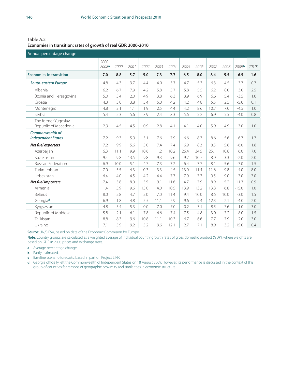Table A.2 **Economies in transition: rates of growth of real GDP, 2000-2010**

| Annual percentage change                            |                   |      |        |      |      |      |        |      |      |      |               |       |
|-----------------------------------------------------|-------------------|------|--------|------|------|------|--------|------|------|------|---------------|-------|
|                                                     | $2000 -$<br>2008a | 2000 | 2001   | 2002 | 2003 | 2004 | 2005   | 2006 | 2007 | 2008 | 2009 <b>b</b> | 2010c |
| <b>Economies in transition</b>                      | 7.0               | 8.8  | 5.7    | 5.0  | 7.3  | 7.7  | 6.5    | 8.0  | 8.4  | 5.5  | $-6.5$        | 1.6   |
| <b>South-eastern Europe</b>                         | 4.8               | 4.3  | 3.7    | 4.4  | 4.0  | 5.7  | 4.7    | 5.3  | 6.3  | 4.5  | $-3.7$        | 0.7   |
| Albania                                             | 6.2               | 6.7  | 7.9    | 4.2  | 5.8  | 5.7  | 5.8    | 5.5  | 6.2  | 8.0  | 3.0           | 2.5   |
| Bosnia and Herzegovina                              | 5.0               | 5.4  | 2.0    | 4.9  | 3.8  | 6.3  | 3.9    | 6.9  | 6.6  | 5.4  | $-3.5$        | 1.0   |
| Croatia                                             | 4.3               | 3.0  | 3.8    | 5.4  | 5.0  | 4.2  | 4.2    | 4.8  | 5.5  | 2.5  | $-5.0$        | 0.1   |
| Montenegro                                          | 4.8               | 3.1  | 1.1    | 1.9  | 2.5  | 4.4  | 4.2    | 8.6  | 10.7 | 7.0  | $-4.5$        | 1.0   |
| Serbia                                              | 5.4               | 5.3  | 5.6    | 3.9  | 2.4  | 8.3  | 5.6    | 5.2  | 6.9  | 5.5  | $-4.0$        | 0.8   |
| The former Yugoslav<br>Republic of Macedonia        | 2.9               | 4.5  | $-4.5$ | 0.9  | 2.8  | 4.1  | 4.1    | 4.0  | 5.9  | 4.9  | $-3.0$        | 1.0   |
| <b>Commonwealth of</b><br><b>Independent States</b> | 7.2               | 9.3  | 5.9    | 5.1  | 7.6  | 7.9  | 6.6    | 8.3  | 8.6  | 5.6  | $-6.7$        | 1.7   |
| Net fuel exporters                                  | 7.2               | 9.9  | 5.6    | 5.0  | 7.4  | 7.4  | 6.9    | 8.3  | 8.5  | 5.6  | $-6.0$        | 1.8   |
| Azerbaijan                                          | 16.3              | 11.1 | 9.9    | 10.6 | 11.2 | 10.2 | 26.4   | 34.5 | 25.1 | 10.8 | 6.0           | 7.0   |
| Kazakhstan                                          | 9.4               | 9.8  | 13.5   | 9.8  | 9.3  | 9.6  | 9.7    | 10.7 | 8.9  | 3.3  | $-2.0$        | 2.0   |
| <b>Russian Federation</b>                           | 6.9               | 10.0 | 5.1    | 4.7  | 7.3  | 7.2  | 6.4    | 7.7  | 8.1  | 5.6  | $-7.0$        | 1.5   |
| Turkmenistan                                        | 7.0               | 5.5  | 4.3    | 0.3  | 3.3  | 4.5  | 13.0   | 11.4 | 11.6 | 9.8  | 4.0           | 8.0   |
| Uzbekistan                                          | 6.4               | 4.0  | 4.5    | 4.2  | 4.4  | 7.7  | 7.0    | 7.3  | 9.5  | 9.0  | 7.0           | 7.0   |
| Net fuel importers                                  | 7.4               | 5.8  | 8.0    | 5.5  | 9.1  | 11.6 | 4.7    | 7.9  | 8.9  | 5.2  | $-11.3$       | 0.9   |
| Armenia                                             | 11.4              | 5.9  | 9.6    | 15.0 | 14.0 | 10.5 | 13.9   | 13.2 | 13.8 | 6.8  | $-15.0$       | 1.0   |
| <b>Belarus</b>                                      | 8.0               | 5.8  | 4.7    | 5.0  | 7.0  | 11.4 | 9.4    | 10.0 | 8.6  | 10.0 | $-3.0$        | 1.5   |
| Georgiad                                            | 6.9               | 1.8  | 4.8    | 5.5  | 11.1 | 5.9  | 9.6    | 9.4  | 12.3 | 2.1  | $-4.0$        | 2.0   |
| Kyrgyzstan                                          | 4.8               | 5.4  | 5.3    | 0.0  | 7.0  | 7.0  | $-0.2$ | 3.1  | 8.5  | 7.6  | 1.0           | 3.0   |
| Republic of Moldova                                 | 5.8               | 2.1  | 6.1    | 7.8  | 6.6  | 7.4  | 7.5    | 4.8  | 3.0  | 7.2  | $-8.0$        | 1.5   |
| Tajikistan                                          | 8.8               | 8.3  | 9.6    | 10.8 | 11.1 | 10.3 | 6.7    | 6.6  | 7.7  | 7.9  | 2.0           | 3.0   |
| Ukraine                                             | 7.1               | 5.9  | 9.2    | 5.2  | 9.6  | 12.1 | 2.7    | 7.1  | 8.9  | 3.2  | $-15.0$       | 0.4   |

**Source**: UN/DESA, based on data of the Economic Commision for Europe.

**Note**: Country groups are calculated as a weighted average of individual country growth rates of gross domestic product (GDP), where weights are based on GDP in 2005 prices and exchange rates.

**a** Average percentage change.

**b** Partly estimated.

**c** Baseline scenario forecasts, based in part on Project LINK.

**d** Georgia officially left the Commonwealth of Independent States on 18 August 2009. However, its performance is discussed in the context of this group of countries for reasons of geographic proximity and similarities in economic structure.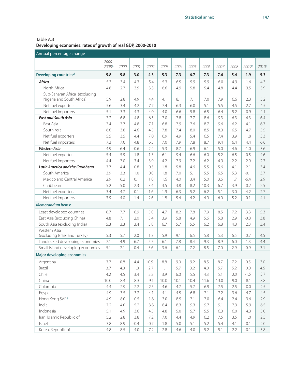Table A.3 **Developing economies: rates of growth of real GDP, 2000-2010**

| Annual percentage change                      |                |        |        |         |      |         |      |      |      |      |        |         |
|-----------------------------------------------|----------------|--------|--------|---------|------|---------|------|------|------|------|--------|---------|
|                                               | 2000-<br>2008a | 2000   | 2001   | 2002    | 2003 | 2004    | 2005 | 2006 | 2007 | 2008 | 2009b  | 2010c   |
| Developing countriesd                         | 5.8            | 5.8    | 3.0    | 4.3     | 5.3  | 7.3     | 6.7  | 7.3  | 7.6  | 5.4  | 1.9    | 5.3     |
| Africa                                        | 5.3            | 3.4    | 4.3    | 5.4     | 5.3  | 6.5     | 5.9  | 5.9  | 6.0  | 4.9  | 1.6    | 4.3     |
| North Africa                                  | 4.6            | 2.7    | 3.9    | 3.3     | 6.6  | 4.9     | 5.8  | 5.4  | 4.8  | 4.4  | 3.5    | 3.9     |
| Sub-Saharan Africa (excluding                 |                |        |        |         |      |         |      |      |      |      |        |         |
| Nigeria and South Africa)                     | 5.9            | 2.8    | 4.9    | 4.4     | 4.1  | 8.1     | 7.1  | 7.0  | 7.9  | 6.6  | 2.3    | 5.2     |
| Net fuel exporters                            | 5.6            | 3.4    | 4.2    | 7.7     | 7.4  | 6.3     | 6.0  | 5.1  | 5.5  | 4.5  | 2.7    | 4.5     |
| Net fuel importers                            | 5.1            | 3.3    | 4.3    | 4.0     | 4.0  | 6.6     | 5.8  | 6.5  | 6.4  | 5.2  | 0.9    | 4.1     |
| <b>East and South Asia</b>                    | 7.2            | 6.8    | 4.8    | 6.5     | 7.0  | 7.8     | 7.7  | 8.6  | 9.3  | 6.3  | 4.3    | 6.4     |
| East Asia                                     | 7.4            | 7.7    | 4.8    | 7.1     | 6.8  | 7.9     | 7.6  | 8.7  | 9.6  | 6.2  | 4.1    | 6.7     |
| South Asia                                    | 6.6            | 3.8    | 4.6    | 4.5     | 7.8  | 7.4     | 8.0  | 8.5  | 8.3  | 6.5  | 4.7    | 5.5     |
| Net fuel exporters                            | 5.5            | 3.5    | 4.4    | 7.0     | 6.9  | 4.9     | 5.4  | 6.5  | 7.4  | 3.9  | 1.8    | 3.3     |
| Net fuel importers                            | 7.3            | 7.0    | 4.8    | 6.5     | 7.0  | 7.9     | 7.8  | 8.7  | 9.4  | 6.4  | 4.4    | 6.6     |
| <b>Western Asia</b>                           | 4.9            | 6.4    | $-0.6$ | 2.4     | 5.3  | 8.7     | 6.9  | 6.1  | 5.0  | 4.6  | $-1.0$ | 3.6     |
| Net fuel exporters                            | 5.4            | 5.9    | 1.8    | 1.3     | 6.1  | 9.4     | 6.6  | 6.0  | 5.2  | 6.5  | 0.5    | 4.6     |
| Net fuel importers                            | 4.4            | 7.0    | $-3.4$ | 3.9     | 4.2  | 7.9     | 7.2  | 6.2  | 4.9  | 2.2  | $-2.9$ | 2.3     |
| <b>Latin America and the Caribbean</b>        | 3.7            | 4.4    | 0.8    | 0.5     | 1.8  | 5.8     | 4.6  | 5.5  | 5.6  | 4.1  | $-2.1$ | 3.4     |
| South America                                 | 3.9            | 3.3    | 1.0    | 0.0     | 1.8  | 7.0     | 5.1  | 5.5  | 6.5  | 5.3  | $-0.1$ | 3.7     |
| Mexico and Central America                    | 2.9            | 6.2    | 0.1    | 1.0     | 1.6  | 4.0     | 3.4  | 5.0  | 3.6  | 1.7  | $-6.4$ | 2.9     |
| Caribbean                                     | 5.2            | 5.0    | 2.3    | 3.4     | 3.5  | 3.8     | 8.2  | 10.3 | 6.7  | 3.9  | 0.2    | 2.5     |
| Net fuel exporters                            | 3.4            | 4.7    | 0.1    | $-1.6$  | 1.9  | 6.3     | 5.2  | 6.2  | 5.1  | 3.0  | $-4.2$ | 2.7     |
| Net fuel importers                            | 3.9            | 4.0    | 1.4    | 2.6     | 1.8  | 5.4     | 4.2  | 4.9  | 6.0  | 5.2  | $-0.1$ | 4.1     |
| <b>Memorandum items:</b>                      |                |        |        |         |      |         |      |      |      |      |        |         |
| Least developed countries                     | 6.7            | 7.7    | 6.9    | 5.0     | 4.7  | 8.2     | 7.8  | 7.9  | 8.5  | 7.2  | 3.3    | 5.3     |
| East Asia (excluding China)                   | 4.8            | 7.1    | 2.0    | 5.4     | 3.9  | 5.8     | 4.9  | 5.6  | 5.8  | 2.9  | $-0.8$ | 3.8     |
| South Asia (excluding India)                  | 5.3            | 3.3    | 3.4    | 5.8     | 6.7  | 5.7     | 5.5  | 6.2  | 6.8  | 4.8  | 2.3    | 3.4     |
| Western Asia<br>(excluding Israel and Turkey) | 5.3            | 5.7    | 2.0    | 1.3     | 5.9  | 9.1     | 6.5  | 5.8  | 5.3  | 6.5  | 0.7    | 4.5     |
| Landlocked developing economies               | 7.1            | 4.9    | 6.7    | 5.7     | 6.1  | 7.8     | 8.4  | 9.3  | 8.9  | 6.0  | 1.3    | 4.4     |
| Small island developing economies             | 5.1            | 7.1    | 0.4    | 3.6     | 3.6  | 6.1     | 7.2  | 8.5  | 7.0  | 2.9  | $-0.9$ | 3.1     |
| <b>Major developing economies</b>             |                |        |        |         |      |         |      |      |      |      |        |         |
|                                               |                |        |        |         |      |         |      |      |      |      |        |         |
| Argentina                                     | 3.7            | $-0.8$ | $-4.4$ | $-10.9$ | 8.8  | 9.0     | 9.2  | 8.5  | 8.7  | 7.2  | 0.5    | 3.0     |
| Brazil                                        | 3.7            | 4.3    | 1.3    | 2.7     | 1.1  | 5.7     | 3.2  | 4.0  | 5.7  | 5.2  | 0.0    | 4.5     |
| Chile                                         | 4.2            | 4.5    | 3.4    | 2.2     | 3.9  | 6.0     | 5.6  | 4.3  | 5.1  | 3.0  | $-1.5$ | 3.7     |
| China                                         | 10.0           | 8.4    | 8.3    | 9.1     | 10.0 | 10.1    | 10.4 | 11.6 | 13.0 | 9.0  | 8.1    | 8.8     |
| Colombia                                      | 4.4            | 2.9    | 2.2    | 2.5     | 4.6  | 4.7     | 5.7  | 6.9  | 7.5  | 2.5  | 0.0    | $2.5\,$ |
| Egypt                                         | 4.9            | 3.5    | 3.2    | 4.1     | 4.1  | 4.5     | 6.8  | 7.1  | 7.2  | 3.6  | 4.7    | 4.5     |
| Hong Kong SARe                                | 4.9            | 8.0    | 0.5    | 1.8     | 3.0  | 8.5     | 7.1  | 7.0  | 6.4  | 2.4  | $-3.6$ | 2.9     |
| India                                         | 7.2            | 4.0    | 5.2    | 3.8     | 8.4  | 8.3     | 9.3  | 9.7  | 9.1  | 7.3  | 5.9    | 6.5     |
| Indonesia                                     | 5.1            | 4.9    | 3.6    | 4.5     | 4.8  | 5.0     | 5.7  | 5.5  | 6.3  | 6.0  | 4.3    | $5.0\,$ |
| Iran, Islamic Republic of                     | 5.2            | 2.8    | 3.8    | 7.2     | 7.0  | 4.4     | 4.9  | 6.2  | 7.5  | 3.5  | 1.0    | 2.5     |
| Israel                                        | 3.8            | 8.9    | $-0.4$ | $-0.7$  | 1.8  | $5.0\,$ | 5.1  | 5.2  | 5.4  | 4.1  | 0.1    | 2.0     |
| Korea, Republic of                            | 4.8            | 8.5    | 4.0    | 7.2     | 2.8  | 4.6     | 4.0  | 5.2  | 5.1  | 2.2  | $-0.1$ | 3.8     |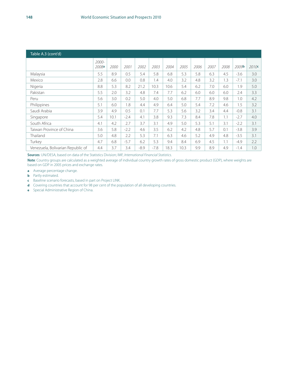| Table A.3 (cont'd)                |                |      |        |        |        |      |      |      |      |      |                   |                   |
|-----------------------------------|----------------|------|--------|--------|--------|------|------|------|------|------|-------------------|-------------------|
|                                   | 2000-<br>2008a | 2000 | 2001   | 2002   | 2003   | 2004 | 2005 | 2006 | 2007 | 2008 | 2009 <sup>b</sup> | 2010 <sup>c</sup> |
| Malaysia                          | 5.5            | 8.9  | 0.5    | 5.4    | 5.8    | 6.8  | 5.3  | 5.8  | 6.3  | 4.5  | $-3.6$            | 3.0               |
| Mexico                            | 2.8            | 6.6  | 0.0    | 0.8    | 1.4    | 4.0  | 3.2  | 4.8  | 3.2  | 1.3  | $-7.1$            | 3.0               |
| Nigeria                           | 8.8            | 5.3  | 8.2    | 21.2   | 10.3   | 10.6 | 5.4  | 6.2  | 7.0  | 6.0  | 1.9               | 5.0               |
| Pakistan                          | 5.5            | 2.0  | 3.2    | 4.8    | 7.4    | 7.7  | 6.2  | 6.0  | 6.0  | 6.0  | 2.4               | 3.3               |
| Peru                              | 5.6            | 3.0  | 0.2    | 5.0    | 4.0    | 5.0  | 6.8  | 7.7  | 8.9  | 9.8  | 1.0               | 4.2               |
| Philippines                       | 5.1            | 6.0  | 1.8    | 4.4    | 4.9    | 6.4  | 5.0  | 5.4  | 7.2  | 4.6  | 1.5               | 3.2               |
| Saudi Arabia                      | 3.9            | 4.9  | 0.5    | 0.1    | 7.7    | 5.3  | 5.6  | 3.2  | 3.4  | 4.4  | $-0.8$            | 3.1               |
| Singapore                         | 5.4            | 10.1 | $-2.4$ | 4.1    | 3.8    | 9.3  | 7.3  | 8.4  | 7.8  | 1.1  | $-2.7$            | 4.0               |
| South Africa                      | 4.1            | 4.2  | 2.7    | 3.7    | 3.1    | 4.9  | 5.0  | 5.3  | 5.1  | 3.1  | $-2.2$            | 3.1               |
| Taiwan Province of China          | 3.6            | 5.8  | $-2.2$ | 4.6    | 3.5    | 6.2  | 4.2  | 4.8  | 5.7  | 0.1  | $-3.8$            | 3.9               |
| Thailand                          | 5.0            | 4.8  | 2.2    | 5.3    | 7.1    | 6.3  | 4.6  | 5.2  | 4.9  | 4.8  | $-3.5$            | 3.1               |
| Turkey                            | 4.7            | 6.8  | $-5.7$ | 6.2    | 5.3    | 9.4  | 8.4  | 6.9  | 4.5  | 1.1  | $-4.9$            | 2.2               |
| Venezuela, Bolivarian Republic of | 4.4            | 3.7  | 3.4    | $-8.9$ | $-7.8$ | 18.3 | 10.3 | 9.9  | 8.9  | 4.9  | $-1.4$            | 1.0               |

**Sources**: UN/DESA, based on data of the Statistics Division; IMF, *International Financial Statistics*.

**Note**: Country groups are calculated as a weighted average of individual country growth rates of gross domestic product (GDP), where weights are based on GDP in 2005 prices and exchange rates.

**a** Average percentage change.

**b** Partly estimated.

- **c** Baseline scenario forecasts, based in part on Project LINK.
- **d** Covering countries that account for 98 per cent of the population of all developing countries.
- **e** Special Administrative Region of China.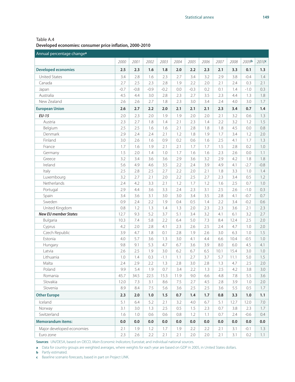Table A.4 **Developed economies: consumer price inflation, 2000-2010**

| Annual percentage change <sup>a</sup> |        |        |        |        |         |        |      |      |      |        |         |
|---------------------------------------|--------|--------|--------|--------|---------|--------|------|------|------|--------|---------|
|                                       | 2000   | 2001   | 2002   | 2003   | 2004    | 2005   | 2006 | 2007 | 2008 | 2009b  | 2010c   |
| <b>Developed economies</b>            | 2.5    | 2.3    | 1.6    | 1.8    | 2.0     | 2.2    | 2.3  | 2.1  | 3.3  | 0.1    | 1.3     |
| <b>United States</b>                  | 3.4    | 2.8    | 1.6    | 2.3    | 2.7     | 3.4    | 3.2  | 2.9  | 3.8  | $-0.4$ | 1.4     |
| Canada                                | 2.7    | 2.5    | 2.3    | 2.8    | 1.9     | 2.2    | 2.0  | 2.1  | 2.4  | 0.3    | 2.1     |
| Japan                                 | $-0.7$ | $-0.8$ | $-0.9$ | $-0.2$ | 0.0     | $-0.3$ | 0.2  | 0.1  | 1.4  | $-1.0$ | 0.3     |
| Australia                             | 4.5    | 4.4    | 3.0    | 2.8    | 2.3     | 2.7    | 3.5  | 2.3  | 4.4  | 1.3    | 1.8     |
| New Zealand                           | 2.6    | 2.6    | 2.7    | 1.8    | 2.3     | 3.0    | 3.4  | 2.4  | 4.0  | 3.0    | 1.7     |
| <b>European Union</b>                 | 2.6    | 2.7    | 2.2    | 2.0    | 2.1     | 2.1    | 2.1  | 2.3  | 3.4  | 0.7    | 1.4     |
| <b>EU-15</b>                          | 2.0    | 2.3    | 2.0    | 1.9    | 1.9     | 2.0    | 2.0  | 2.1  | 3.2  | 0.6    | 1.3     |
| Austria                               | 2.3    | 2.7    | 1.8    | 1.4    | 2.1     | 2.3    | 1.4  | 2.2  | 3.2  | 1.2    | 1.5     |
| Belgium                               | 2.5    | 2.5    | 1.6    | 1.6    | 2.1     | 2.8    | 1.8  | 1.8  | 4.5  | 0.0    | 0.8     |
| Denmark                               | 2.9    | 2.4    | 2.4    | 2.1    | 1.2     | 1.8    | 1.9  | 1.7  | 3.4  | 1.2    | 2.0     |
| Finland                               | 3.0    | 2.6    | 1.6    | 0.9    | 0.2     | 0.6    | 1.6  | 2.5  | 4.1  | 1.7    | 1.3     |
| France                                | 1.7    | 1.6    | 1.9    | 2.1    | 2.1     | 1.7    | 1.7  | 1.5  | 2.8  | 0.2    | 1.0     |
| Germany                               | 1.5    | 2.0    | 1.4    | 1.0    | 1.7     | 1.6    | 1.6  | 2.3  | 2.6  | 0.0    | 1.1     |
| Greece                                | 3.2    | 3.4    | 3.6    | 3.6    | 2.9     | 3.6    | 3.2  | 2.9  | 4.2  | 1.8    | 1.8     |
| Ireland                               | 5.6    | 4.9    | 4.6    | 3.5    | 2.2     | 2.4    | 3.9  | 4.9  | 4.1  | $-2.7$ | $-0.8$  |
| Italy                                 | 2.5    | 2.8    | 2.5    | 2.7    | 2.2     | 2.0    | 2.1  | 1.8  | 3.3  | 1.0    | 1.4     |
| Luxembourg                            | 3.2    | 2.7    | 2.1    | 2.0    | 2.2     | 2.5    | 2.7  | 2.3  | 3.4  | 0.5    | 1.2     |
| Netherlands                           | 2.4    | 4.2    | 3.3    | 2.1    | 1.2     | 1.7    | 1.2  | 1.6  | 2.5  | 0.7    | 1.0     |
| Portugal                              | 2.9    | 4.4    | 3.6    | 3.3    | 2.4     | 2.3    | 3.1  | 2.5  | 2.6  | $-1.0$ | 0.3     |
| Spain                                 | 3.4    | 3.6    | 3.1    | 3.0    | 3.0     | 3.4    | 3.5  | 2.8  | 4.1  | $-0.7$ | 0.7     |
| Sweden                                | 0.9    | 2.4    | 2.2    | 1.9    | 0.4     | 0.5    | 1.4  | 2.2  | 3.4  | $-0.2$ | 0.6     |
| United Kingdom                        | 0.8    | 1.2    | 1.3    | 1.4    | 1.3     | 2.0    | 2.3  | 2.3  | 3.6  | 2.1    | 2.3     |
| <b>New EU member States</b>           | 12.7   | 9.3    | 5.2    | 3.7    | 5.1     | 3.4    | 3.2  | 4.1  | 6.1  | 3.2    | 2.7     |
| Bulgaria                              | 10.3   | 7.4    | 5.8    | 2.2    | 6.4     | 5.0    | 7.3  | 8.4  | 12.4 | 2.5    | 2.0     |
| Cyprus                                | 4.2    | 2.0    | 2.8    | 4.1    | 2.3     | 2.6    | 2.5  | 2.4  | 4.7  | 1.0    | 2.0     |
| Czech Republic                        | 3.9    | 4.7    | 1.8    | 0.1    | 2.8     | 1.9    | 2.6  | 3.0  | 6.3  | 1.0    | 1.5     |
| Estonia                               | 4.0    | 5.7    | 3.6    | 1.3    | 3.0     | 4.1    | 4.4  | 6.6  | 10.4 | $-0.5$ | 1.0     |
| Hungary                               | 9.8    | 9.1    | 5.3    | 4.7    | 6.7     | 3.6    | 3.9  | 8.0  | 6.0  | 4.5    | 4.1     |
| Latvia                                | 2.6    | 2.5    | 1.9    | 3.0    | 6.2     | 6.7    | 6.5  | 10.1 | 15.4 | 3.0    | 1.0     |
| Lithuania                             | 1.0    | 1.4    | 0.3    | $-1.1$ | 1.1     | 2.7    | 3.7  | 5.7  | 11.1 | 5.0    | 1.5     |
| Malta                                 | 2.4    | 2.9    | 2.2    | 1.3    | 2.8     | 3.0    | 2.8  | 1.3  | 4.7  | 2.5    | 2.0     |
| Poland                                | 9.9    | 5.4    | 1.9    | 0.7    | 3.4     | 2.2    | 1.3  | 2.5  | 4.2  | 3.8    | 3.0     |
| Romania                               | 45.7   | 34.5   | 22.5   | 15.3   | 11.9    | 9.0    | 6.6  | 4.8  | 7.8  | 5.5    | 3.6     |
| Slovakia                              | 12.0   | 7.3    | 3.1    | 8.6    | 7.5     | 2.7    | 4.5  | 2.8  | 3.9  | 1.0    | 2.0     |
| Slovenia                              | 8.9    | 8.4    | 7.5    | 5.6    | 3.6     | 2.5    | 2.5  | 3.6  | 5.5  | 0.5    | 1.7     |
| <b>Other Europe</b>                   | 2.3    | 2.0    | 1.0    | 1.5    | $0.7\,$ | 1.4    | 1.7  | 0.8  | 3.3  | 1.0    | 1.1     |
| Iceland                               | 5.1    | 6.4    | 5.2    | 2.1    | 3.2     | 4.0    | 6.7  | 5.1  | 12.7 | 12.0   | 7.0     |
| Norway                                | 3.1    | 3.0    | 1.3    | 2.5    | 0.5     | 1.5    | 2.3  | 0.7  | 3.8  | 2.3    | 1.7     |
| Switzerland                           | 1.6    | 1.0    | 0.6    | 0.6    | 0.8     | 1.2    | 1.1  | 0.7  | 2.4  | $-0.6$ | 0.4     |
| <b>Memorandum items:</b>              | 0.0    | 0.0    | 0.0    | 0.0    | 0.0     | 0.0    | 0.0  | 0.0  | 0.0  | 0.0    | 0.0     |
| Major developed economies             | 2.1    | 1.9    | 1.2    | 1.7    | 1.9     | 2.2    | 2.2  | 2.1  | 3.1  | $-0.1$ | 1.3     |
| Euro zone                             | 2.3    | 2.6    | 2.2    | 2.1    | 2.1     | 2.0    | 2.0  | 2.1  | 3.1  | 0.2    | $1.1 -$ |

**Sources**: UN/DESA, based on OECD, *Main Economic Indicators*; Eurostat; and individual national sources.

**a** Data for country groups are weighted averages, where weights for each year are based on GDP in 2005, in United States dollars.

**b** Partly estimated.

**c** Baseline scenario forecasts, based in part on Project LINK.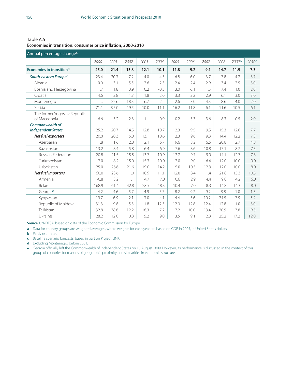Table A.5 **Economies in transition: consumer price inflation, 2000-2010**

| Annual percentage change <sup>a</sup>               |                      |      |      |      |        |      |      |      |      |       |       |
|-----------------------------------------------------|----------------------|------|------|------|--------|------|------|------|------|-------|-------|
|                                                     | 2000                 | 2001 | 2002 | 2003 | 2004   | 2005 | 2006 | 2007 | 2008 | 2009b | 2010c |
| <b>Economies in transitiond</b>                     | 25.0                 | 21.4 | 13.8 | 12.1 | 10.1   | 11.8 | 9.2  | 9.1  | 14.7 | 11.9  | 7.3   |
| South-eastern Europed                               | 23.4                 | 30.3 | 7.2  | 4.0  | 4.3    | 6.8  | 6.0  | 3.7  | 7.8  | 4.7   | 3.7   |
| Albania                                             | 0.0                  | 3.1  | 5.5  | 2.6  | 2.3    | 2.4  | 2.4  | 2.9  | 3.4  | 2.5   | 3.0   |
| Bosnia and Herzegovina                              | 1.7                  | 1.8  | 0.9  | 0.2  | $-0.3$ | 3.0  | 6.1  | 1.5  | 7.4  | 1.0   | 2.0   |
| Croatia                                             | 4.6                  | 3.8  | 1.7  | 1.8  | 2.0    | 3.3  | 3.2  | 2.9  | 6.1  | 3.0   | 3.0   |
| Montenegro                                          | $\ddot{\phantom{a}}$ | 22.6 | 18.3 | 6.7  | 2.2    | 2.6  | 3.0  | 4.3  | 8.6  | 4.0   | 2.0   |
| Serbia                                              | 71.1                 | 95.0 | 19.5 | 10.0 | 11.1   | 16.2 | 11.8 | 6.1  | 11.6 | 10.5  | 6.1   |
| The former Yugoslav Republic<br>of Macedonia        | 6.6                  | 5.2  | 2.3  | 1.1  | 0.9    | 0.2  | 3.3  | 3.6  | 8.3  | 0.5   | 2.0   |
| <b>Commonwealth of</b><br><b>Independent States</b> | 25.2                 | 20.7 | 14.5 | 12.8 | 10.7   | 12.3 | 9.5  | 9.5  | 15.3 | 12.6  | 7.7   |
| Net fuel exporters                                  | 20.0                 | 20.3 | 15.0 | 13.1 | 10.6   | 12.3 | 9.6  | 9.3  | 14.4 | 12.2  | 7.3   |
| Azerbaijan                                          | 1.8                  | 1.6  | 2.8  | 2.1  | 6.7    | 9.6  | 8.2  | 16.6 | 20.8 | 2.7   | 4.8   |
| Kazakhstan                                          | 13.2                 | 8.4  | 5.8  | 6.4  | 6.9    | 7.6  | 8.6  | 10.8 | 17.1 | 8.2   | 7.3   |
| Russian Federation                                  | 20.8                 | 21.5 | 15.8 | 13.7 | 10.9   | 12.7 | 9.7  | 9.0  | 14.1 | 12.7  | 7.3   |
| Turkmenistan                                        | 7.0                  | 8.2  | 15.0 | 15.3 | 10.0   | 12.0 | 9.0  | 6.4  | 12.0 | 10.0  | 9.0   |
| Uzbekistan                                          | 25.0                 | 26.6 | 21.6 | 19.0 | 14.2   | 15.0 | 10.5 | 12.3 | 12.0 | 10.0  | 8.0   |
| Net fuel importers                                  | 60.0                 | 23.6 | 11.0 | 10.9 | 11.1   | 12.0 | 8.4  | 11.4 | 21.8 | 15.3  | 10.5  |
| Armenia                                             | $-0.8$               | 3.2  | 1.1  | 4.7  | 7.0    | 0.6  | 2.9  | 4.4  | 9.0  | 4.2   | 6.0   |
| <b>Belarus</b>                                      | 168.9                | 61.4 | 42.8 | 28.5 | 18.3   | 10.4 | 7.0  | 8.3  | 14.8 | 14.3  | 8.0   |
| Georgiae                                            | 4.2                  | 4.6  | 5.7  | 4.9  | 5.7    | 8.2  | 9.2  | 9.2  | 9.9  | 1.0   | 1.3   |
| Kyrgyzstan                                          | 19.7                 | 6.9  | 2.1  | 3.0  | 4.1    | 4.4  | 5.6  | 10.2 | 24.5 | 7.9   | 5.2   |
| Republic of Moldova                                 | 31.3                 | 9.8  | 5.3  | 11.8 | 12.5   | 12.0 | 12.8 | 12.4 | 12.8 | 1.0   | 3.0   |
| Tajikistan                                          | 32.8                 | 38.6 | 12.2 | 16.3 | 7.2    | 7.2  | 10.0 | 13.4 | 20.9 | 7.8   | 9.5   |
| Ukraine                                             | 28.2                 | 12.0 | 0.8  | 5.2  | 9.0    | 13.5 | 9.1  | 12.8 | 25.2 | 17.2  | 12.0  |

**Source**: UN/DESA, based on data of the Economic Commission for Europe.

**a** Data for country groups are weighted averages, where weights for each year are based on GDP in 2005, in United States dollars.

**b** Partly estimated.

**c** Baseline scenario forecasts, based in part on Project LINK.

**d** Excluding Montenegro before 2001.

**e** Georgia officially left the Commonwealth of Independent States on 18 August 2009. However, its performance is discussed in the context of this group of countries for reasons of geographic proximity and similarities in economic structure.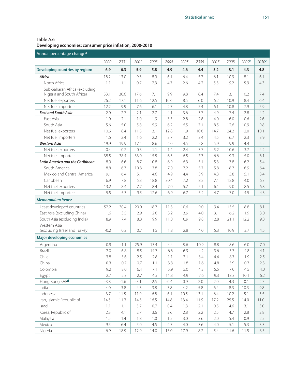Table A.6 **Developing economies: consumer price inflation, 2000-2010**

| Annual percentage change <sup>a</sup>  |        |        |        |        |        |      |      |      |      |         |       |
|----------------------------------------|--------|--------|--------|--------|--------|------|------|------|------|---------|-------|
|                                        | 2000   | 2001   | 2002   | 2003   | 2004   | 2005 | 2006 | 2007 | 2008 | 2009b   | 2010c |
| Developing countries by region:        | 6.9    | 6.3    | 5.9    | 5.8    | 4.9    | 4.6  | 4.4  | 5.2  | 8.1  | 4.3     | 4.8   |
| Africa                                 | 18.2   | 13.0   | 9.3    | 8.9    | 6.1    | 6.4  | 5.7  | 6.1  | 10.9 | 8.1     | 6.1   |
| North Africa                           | 1.1    | 1.1    | 0.7    | 2.3    | 4.7    | 2.6  | 4.2  | 5.3  | 9.2  | 5.9     | 4.3   |
| Sub-Saharan Africa (excluding          |        |        |        |        |        |      |      |      |      |         |       |
| Nigeria and South Africa)              | 53.1   | 30.6   | 17.6   | 17.1   | 9.9    | 9.8  | 8.4  | 7.4  | 13.1 | 10.2    | 7.4   |
| Net fuel exporters                     | 26.2   | 17.1   | 11.6   | 12.5   | 10.6   | 8.5  | 6.0  | 6.2  | 10.9 | 8.4     | 6.4   |
| Net fuel importers                     | 12.2   | 9.9    | 7.6    | 6.1    | 2.7    | 4.8  | 5.4  | 6.1  | 10.8 | 7.9     | 5.9   |
| <b>East and South Asia</b>             | 2.0    | 2.7    | 2.1    | 2.7    | 4.1    | 3.6  | 3.7  | 4.9  | 7.4  | 2.8     | 4.2   |
| East Asia                              | 1.0    | 2.1    | 1.0    | 1.9    | 3.5    | 2.8  | 2.8  | 4.0  | 6.0  | 0.6     | 2.6   |
| South Asia                             | 5.6    | 5.0    | 5.8    | 5.9    | 6.2    | 6.5  | 7.1  | 8.5  | 12.6 | 10.9    | 9.8   |
| Net fuel exporters                     | 10.6   | 8.4    | 11.5   | 13.1   | 12.8   | 11.9 | 10.6 | 14.7 | 24.2 | 12.0    | 10.1  |
| Net fuel importers                     | 1.6    | 2.4    | 1.6    | 2.2    | 3.7    | 3.2  | 3.4  | 4.5  | 6.7  | 2.3     | 3.9   |
| <b>Western Asia</b>                    | 19.9   | 19.9   | 17.4   | 8.6    | 4.0    | 4.5  | 5.8  | 5.9  | 9.9  | 4.4     | 5.2   |
| Net fuel exporters                     | $-0.4$ | $-0.2$ | 0.3    | 1.1    | 1.4    | 2.4  | 3.7  | 5.2  | 10.6 | 3.7     | 4.2   |
| Net fuel importers                     | 38.5   | 38.4   | 33.0   | 15.5   | 6.3    | 6.5  | 7.7  | 6.6  | 9.3  | 5.0     | 6.1   |
| <b>Latin America and the Caribbean</b> | 8.9    | 6.6    | 8.7    | 10.8   | 6.9    | 6.3  | 5.1  | 5.3  | 7.8  | 6.2     | 5.4   |
| South America                          | 8.8    | 6.7    | 10.8   | 13.8   | 7.0    | 7.2  | 5.7  | 5.8  | 8.7  | 6.9     | 6.4   |
| Mexico and Central America             | 9.1    | 6.4    | 5.1    | 4.6    | 4.9    | 4.4  | 3.9  | 4.3  | 5.8  | 5.1     | 3.4   |
| Caribbean                              | 6.9    | 7.8    | 5.3    | 18.8   | 30.4   | 7.2  | 8.2  | 7.1  | 12.8 | 4.0     | 6.3   |
| Net fuel exporters                     | 13.2   | 8.4    | 7.7    | 8.4    | 7.0    | 5.7  | 5.1  | 6.1  | 9.0  | 8.5     | 6.8   |
| Net fuel importers                     | 5.5    | 5.3    | 9.5    | 12.6   | 6.9    | 6.7  | 5.2  | 4.7  | 7.0  | 4.5     | 4.3   |
| <b>Memorandum items:</b>               |        |        |        |        |        |      |      |      |      |         |       |
| Least developed countries              | 52.2   | 30.4   | 20.0   | 18.7   | 11.3   | 10.6 | 9.0  | 9.4  | 13.5 | 8.8     | 8.1   |
| East Asia (excluding China)            | 1.6    | 3.5    | 2.9    | 2.6    | 3.2    | 3.9  | 4.0  | 3.1  | 6.2  | 1.9     | 3.0   |
| South Asia (excluding India)           | 8.9    | 7.4    | 8.8    | 9.9    | 11.0   | 10.9 | 9.8  | 12.8 | 21.1 | 12.2    | 9.8   |
| Western Asia                           |        |        |        |        |        |      |      |      |      |         |       |
| (excluding Israel and Turkey)          | $-0.2$ | 0.2    | 0.7    | 1.5    | 1.8    | 2.8  | 4.0  | 5.3  | 10.9 | 3.7     | 4.5   |
| <b>Major developing economies</b>      |        |        |        |        |        |      |      |      |      |         |       |
| Argentina                              | $-0.9$ | $-1.1$ | 25.9   | 13.4   | 4.4    | 9.6  | 10.9 | 8.8  | 8.6  | 6.0     | 7.0   |
| Brazil                                 | 7.0    | 6.8    | 8.5    | 14.7   | 6.6    | 6.9  | 4.2  | 3.6  | 5.7  | 4.8     | 4.1   |
| Chile                                  | 3.8    | 3.6    | 2.5    | 2.8    | 1.1    | 3.1  | 3.4  | 4.4  | 8.7  | 1.9     | 2.5   |
| China                                  | 0.3    | 0.7    | $-0.7$ | 1.1    | 3.8    | 1.8  | 1.6  | 4.8  | 5.9  | $-0.7$  | 2.3   |
| Colombia                               | 9.2    | 8.0    | 6.4    | 7.1    | 5.9    | 5.0  | 4.3  | 5.5  | 7.0  | 4.5     | 4.0   |
| Egypt                                  | 2.7    | 2.3    | 2.7    | 4.5    | 11.3   | 4.9  | 7.6  | 9.3  | 18.3 | 10.1    | 6.2   |
| Hong Kong SARd                         | $-3.8$ | $-1.6$ | $-3.1$ | $-2.5$ | $-0.4$ | 0.9  | 2.0  | 2.0  | 4.3  | $0.1\,$ | 2.7   |
| India                                  | 4.0    | 3.8    | 4.3    | 3.8    | 3.8    | 4.2  | 5.8  | 6.4  | 8.3  | 10.3    | 9.8   |
| Indonesia                              | 3.7    | 11.5   | 11.9   | 6.8    | 6.1    | 10.5 | 13.1 | 6.4  | 10.2 | 5.1     | 5.5   |
| Iran, Islamic Republic of              | 14.5   | 11.3   | 14.3   | 16.5   | 14.8   | 13.4 | 11.9 | 17.2 | 25.5 | 14.0    | 11.0  |
| Israel                                 | 1.1    | 1.1    | 5.7    | 0.7    | $-0.4$ | 1.3  | 2.1  | 0.5  | 4.6  | 3.1     | 3.0   |
| Korea, Republic of                     | 2.3    | 4.1    | 2.7    | 3.6    | 3.6    | 2.8  | 2.2  | 2.5  | 4.7  | 2.8     | 2.8   |
| Malaysia                               | 1.5    | 1.4    | 1.8    | 1.0    | 1.5    | 3.0  | 3.6  | 2.0  | 5.4  | 0.9     | 2.5   |
| Mexico                                 | 9.5    | 6.4    | 5.0    | 4.5    | 4.7    | 4.0  | 3.6  | 4.0  | 5.1  | 5.3     | 3.3   |
| Nigeria                                | 6.9    | 18.9   | 12.9   | 14.0   | 15.0   | 17.9 | 8.2  | 5.4  | 11.6 | 11.5    | 8.5   |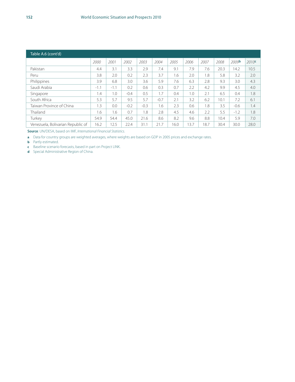| Table A.6 (cont'd)                |        |        |        |        |        |      |      |      |      |                   |                   |
|-----------------------------------|--------|--------|--------|--------|--------|------|------|------|------|-------------------|-------------------|
|                                   | 2000   | 2001   | 2002   | 2003   | 2004   | 2005 | 2006 | 2007 | 2008 | 2009 <sup>b</sup> | 2010 <sup>c</sup> |
| Pakistan                          | 4.4    | 3.1    | 3.3    | 2.9    | 7.4    | 9.1  | 7.9  | 7.6  | 20.3 | 14.2              | 10.5              |
| Peru                              | 3.8    | 2.0    | 0.2    | 2.3    | 3.7    | 1.6  | 2.0  | 1.8  | 5.8  | 3.2               | 2.0               |
| Philippines                       | 3.9    | 6.8    | 3.0    | 3.6    | 5.9    | 7.6  | 6.3  | 2.8  | 9.3  | 3.0               | 4.3               |
| Saudi Arabia                      | $-1.1$ | $-1.1$ | 0.2    | 0.6    | 0.3    | 0.7  | 2.2  | 4.2  | 9.9  | 4.5               | 4.0               |
| Singapore                         | 1.4    | 1.0    | $-0.4$ | 0.5    | 1.7    | 0.4  | 1.0  | 2.1  | 6.5  | 0.4               | 1.8               |
| South Africa                      | 5.3    | 5.7    | 9.5    | 5.7    | $-0.7$ | 2.1  | 3.2  | 6.2  | 10.1 | 7.2               | 6.1               |
| Taiwan Province of China          | 1.3    | 0.0    | $-0.2$ | $-0.3$ | 1.6    | 2.3  | 0.6  | 1.8  | 3.5  | $-0.6$            | 1.4               |
| <b>Thailand</b>                   | 1.6    | 1.6    | 0.7    | 1.8    | 2.8    | 4.5  | 4.6  | 2.2  | 5.5  | $-1.2$            | 1.8               |
| Turkey                            | 54.9   | 54.4   | 45.0   | 21.6   | 8.6    | 8.2  | 9.6  | 8.8  | 10.4 | 5.9               | 7.0               |
| Venezuela, Bolivarian Republic of | 16.2   | 12.5   | 22.4   | 31.1   | 21.7   | 16.0 | 3.7  | 18.7 | 30.4 | 30.0              | 28.0              |

**Source**: UN/DESA, based on IMF, *International Financial Statistics*.

**a** Data for country groups are weighted averages, where weights are based on GDP in 2005 prices and exchange rates.

**b** Partly estimated.

**c** Baseline scenario forecasts, based in part on Project LINK.

**d** Special Administrative Region of China.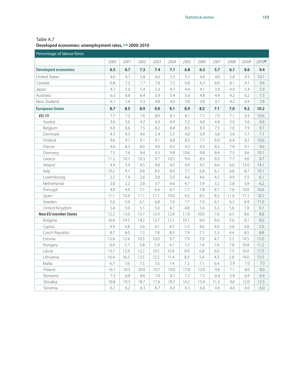| Table A.7                                              |
|--------------------------------------------------------|
| Developed economies: unemployment rates, a,b 2000-2010 |

| Percentage of labour force  |      |      |      |      |      |      |      |      |      |       |       |
|-----------------------------|------|------|------|------|------|------|------|------|------|-------|-------|
|                             | 2000 | 2001 | 2002 | 2003 | 2004 | 2005 | 2006 | 2007 | 2008 | 2009c | 2010d |
| <b>Developed economies</b>  | 6.5  | 6.7  | 7.3  | 7.4  | 7.1  | 6.8  | 6.3  | 5.7  | 6.1  | 8.6   | 9.4   |
| <b>United States</b>        | 4.0  | 4.7  | 5.8  | 6.0  | 5.5  | 5.1  | 4.6  | 4.6  | 5.8  | 9.3   | 10.1  |
| Canada                      | 6.8  | 7.2  | 7.7  | 7.6  | 7.2  | 6.8  | 6.3  | 6.0  | 6.1  | 9.1   | 9.6   |
| Japan                       | 4.7  | 5.0  | 5.4  | 5.3  | 4.7  | 4.4  | 4.1  | 3.9  | 4.0  | 5.4   | 5.9   |
| Australia                   | 6.3  | 6.8  | 6.4  | 5.9  | 5.4  | 5.0  | 4.8  | 4.4  | 4.2  | 6.2   | 7.3   |
| New Zealand                 | 6.1  | 5.4  | 5.3  | 4.8  | 4.0  | 3.8  | 3.8  | 3.7  | 4.2  | 6.9   | 7.8   |
| <b>European Union</b>       | 8.7  | 8.5  | 8.9  | 9.0  | 9.1  | 8.9  | 8.2  | 7.1  | 7.0  | 9.2   | 10.2  |
| $EU-15$                     | 7.7  | 7.3  | 7.6  | 8.0  | 8.1  | 8.1  | 7.7  | 7.0  | 7.1  | 9.3   | 10.6  |
| Austria                     | 3.6  | 3.6  | 4.2  | 4.3  | 4.9  | 5.2  | 4.8  | 4.4  | 3.9  | 5.6   | 6.6   |
| Belgium                     | 6.9  | 6.6  | 7.5  | 8.2  | 8.4  | 8.5  | 8.3  | 7.5  | 7.0  | 7.9   | 9.1   |
| Denmark                     | 4.3  | 4.5  | 4.6  | 5.4  | 5.5  | 4.8  | 3.9  | 3.8  | 3.4  | 5.7   | 7.1   |
| Finland                     | 9.6  | 9.1  | 9.1  | 9.1  | 8.8  | 8.3  | 7.7  | 6.9  | 6.4  | 9.2   | 10.6  |
| France                      | 9.0  | 8.3  | 8.6  | 9.0  | 9.2  | 9.3  | 9.3  | 8.3  | 7.9  | 9.1   | 9.6   |
| Germany                     | 7.5  | 7.6  | 8.4  | 9.3  | 9.8  | 10.6 | 9.8  | 8.4  | 7.3  | 8.6   | 10.1  |
| Greece                      | 11.2 | 10.7 | 10.3 | 9.7  | 10.5 | 9.9  | 8.9  | 8.3  | 7.7  | 9.0   | 8.7   |
| Ireland                     | 4.4  | 3.9  | 4.5  | 4.8  | 4.5  | 4.4  | 4.5  | 4.6  | 6.0  | 12.0  | 14.1  |
| Italy                       | 10.2 | 9.1  | 8.6  | 8.5  | 8.0  | 7.7  | 6.8  | 6.1  | 6.8  | 8.7   | 10.1  |
| Luxembourg                  | 2.2  | 1.9  | 2.6  | 3.8  | 5.0  | 4.6  | 4.6  | 4.2  | 4.9  | 5.5   | 6.1   |
| Netherlands                 | 2.8  | 2.2  | 2.8  | 3.7  | 4.6  | 4.7  | 3.9  | 3.2  | 2.8  | 3.9   | 6.2   |
| Portugal                    | 4.0  | 4.0  | 5.1  | 6.4  | 6.7  | 7.7  | 7.8  | 8.1  | 7.8  | 10.0  | 10.6  |
| Spain                       | 11.1 | 10.4 | 11.1 | 11.1 | 10.6 | 9.2  | 8.5  | 8.3  | 11.4 | 17.1  | 18.2  |
| Sweden                      | 5.6  | 5.9  | 6.1  | 6.8  | 7.6  | 7.7  | 7.0  | 6.1  | 6.2  | 8.9   | 11.0  |
| United Kingdom              | 5.4  | 5.0  | 5.1  | 5.0  | 4.7  | 4.8  | 5.4  | 5.3  | 5.6  | 7.8   | 9.1   |
| <b>New EU member States</b> | 12.2 | 13.0 | 13.7 | 12.9 | 12.9 | 11.9 | 10.0 | 7.6  | 6.5  | 8.6   | 8.8   |
| Bulgaria                    | 16.4 | 19.5 | 18.2 | 13.7 | 12.1 | 10.1 | 9.0  | 6.9  | 5.6  | 8.1   | 8.0   |
| Cyprus                      | 4.9  | 3.8  | 3.6  | 4.1  | 4.7  | 5.3  | 4.6  | 4.0  | 3.6  | 4.8   | 5.0   |
| Czech Republic              | 8.7  | 8.0  | 7.3  | 7.8  | 8.3  | 7.9  | 7.1  | 5.3  | 4.4  | 8.5   | 8.8   |
| Estonia                     | 12.8 | 12.4 | 10.3 | 10.0 | 9.7  | 7.9  | 5.9  | 4.7  | 5.5  | 14.5  | 15.0  |
| Hungary                     | 6.4  | 5.7  | 5.8  | 5.9  | 6.1  | 7.2  | 7.4  | 7.4  | 7.8  | 10.8  | 11.2  |
| Latvia                      | 13.7 | 12.9 | 12.2 | 10.5 | 10.4 | 8.9  | 6.8  | 6.0  | 7.5  | 16.0  | 17.0  |
| Lithuania                   | 16.4 | 16.5 | 13.5 | 12.5 | 11.4 | 8.3  | 5.6  | 4.3  | 5.8  | 14.0  | 15.0  |
| Malta                       | 6.7  | 7.6  | 7.5  | 7.6  | 7.4  | 7.2  | 7.1  | 6.4  | 5.9  | 7.0   | 7.0   |
| Poland                      | 16.1 | 18.3 | 20.0 | 19.7 | 19.0 | 17.8 | 13.9 | 9.6  | 7.1  | 8.0   | 8.0   |
| Romania                     | 7.3  | 6.8  | 8.6  | 7.0  | 8.1  | 7.2  | 7.3  | 6.4  | 5.8  | 6.4   | 6.4   |
| Slovakia                    | 18.8 | 19.3 | 18.7 | 17.6 | 18.2 | 16.2 | 13.4 | 11.2 | 9.6  | 12.0  | 12.3  |
| Slovenia                    | 6.7  | 6.2  | 6.3  | 6.7  | 6.3  | 6.5  | 6.0  | 4.9  | 4.4  | 6.0   | 6.0   |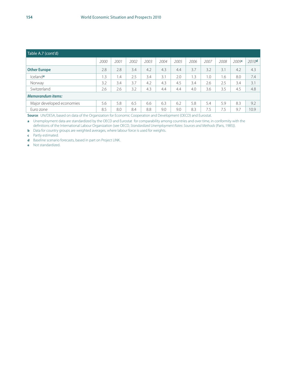| Table A.7 (cont'd)        |           |      |      |      |      |      |      |      |      |       |                   |
|---------------------------|-----------|------|------|------|------|------|------|------|------|-------|-------------------|
|                           | 2000      | 2001 | 2002 | 2003 | 2004 | 2005 | 2006 | 2007 | 2008 | 2009c | 2010 <sup>d</sup> |
| <b>Other Europe</b>       | 2.8       | 2.8  | 3.4  | 4.2  | 4.3  | 4.4  | 3.7  | 3.2  | 3.1  | 4.2   | 4.3               |
| Icelande                  | $\cdot$ 3 | 1.4  | 2.5  | 3.4  | 3.1  | 2.0  | 1.3  | 1.0  | 1.6  | 8.0   | 7.4               |
| Norway                    | 3.2       | 3.4  | 3.7  | 4.2  | 4.3  | 4.5  | 3.4  | 2.6  | 2.5  | 3.4   | 3.1               |
| Switzerland               | 2.6       | 2.6  | 3.2  | 4.3  | 4.4  | 4.4  | 4.0  | 3.6  | 3.5  | 4.5   | 4.8               |
| <b>Memorandum items:</b>  |           |      |      |      |      |      |      |      |      |       |                   |
| Major developed economies | 5.6       | 5.8  | 6.5  | 6.6  | 6.3  | 6.2  | 5.8  | 5.4  | 5.9  | 8.3   | 9.2               |
| Euro zone                 | 8.5       | 8.0  | 8.4  | 8.8  | 9.0  | 9.0  | 8.3  | 7.5  | 7.5  | 9.7   | 10.9              |

**Source**: UN/DESA, based on data of the Organization for Economic Cooperation and Development (OECD) and Eurostat.

**a** Unemployment data are standardized by the OECD and Eurostat for comparability among countries and over time, in conformity with the definitions of the International Labour Organization (see OECD, *Standardized Unemployment Rates: Sources and Methods* (Paris, 1985)).

**b** Data for country groups are weighted averages, where labour force is used for weights.

**c** Partly estimated.

**d** Baseline scenario forecasts, based in part on Project LINK.

**e** Not standardized.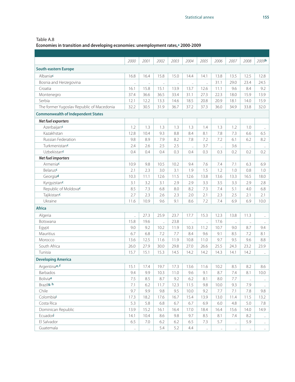**Economies in transition and developing economies: unemployment rates,a 2000-2009**

|                                           | 2000      | 2001     | 2002                 | 2003      | 2004                 | 2005     | 2006      | 2007                 | 2008     | 2009 <b>b</b>        |
|-------------------------------------------|-----------|----------|----------------------|-----------|----------------------|----------|-----------|----------------------|----------|----------------------|
| <b>South-eastern Europe</b>               |           |          |                      |           |                      |          |           |                      |          |                      |
| Albaniac                                  | 16.8      | 16.4     | 15.8                 | 15.0      | 14.4                 | 14.1     | 13.8      | 13.5                 | 12.5     | 12.8                 |
| Bosnia and Herzegovina                    | $\ddotsc$ | $\ldots$ | $\ldots$             | $\ddotsc$ | $\ddotsc$            | ä,       | 31.1      | 29.0                 | 23.4     | 24.5                 |
| Croatia                                   | 16.1      | 15.8     | 15.1                 | 13.9      | 13.7                 | 12.6     | 11.1      | 9.6                  | 8.4      | 9.2                  |
| Montenegro                                | 37.4      | 36.6     | 36.5                 | 33.4      | 31.1                 | 27.3     | 22.3      | 18.0                 | 15.9     | 13.9                 |
| Serbia                                    | 12.1      | 12.2     | 13.3                 | 14.6      | 18.5                 | 20.8     | 20.9      | 18.1                 | 14.0     | 15.9                 |
| The former Yugoslav Republic of Macedonia | 32.2      | 30.5     | 31.9                 | 36.7      | 37.2                 | 37.3     | 36.0      | 34.9                 | 33.8     | 32.0                 |
| <b>Commonwealth of Independent States</b> |           |          |                      |           |                      |          |           |                      |          |                      |
| Net fuel exporters                        |           |          |                      |           |                      |          |           |                      |          |                      |
| Azerbaijanc                               | 1.2       | 1.3      | 1.3                  | 1.3       | 1.3                  | 1.4      | 1.3       | 1.2                  | 1.0      | $\ddot{\phantom{a}}$ |
| Kazakhstan                                | 12.8      | 10.4     | 9.3                  | 8.8       | 8.4                  | 8.1      | 7.8       | 7.3                  | 6.6      | 6.5                  |
| <b>Russian Federation</b>                 | 9.8       | 8.9      | 7.9                  | 8.2       | 7.8                  | 7.2      | 7.2       | 6.1                  | 6.2      | 8.2                  |
| Turkmenistanc                             | 2.4       | 2.6      | 2.5                  | 2.5       | $\ddotsc$            | 3.7      | $\ddotsc$ | 3.6                  | $\ldots$ | $\ldots$             |
| Uzbekistanc                               | 0.4       | 0.4      | 0.4                  | 0.3       | 0.4                  | 0.3      | 0.3       | 0.2                  | 0.2      | 0.2                  |
| Net fuel importers                        |           |          |                      |           |                      |          |           |                      |          |                      |
| Armeniac                                  | 10.9      | 9.8      | 10.5                 | 10.2      | 9.4                  | 7.6      | 7.4       | 7.1                  | 6.3      | 6.9                  |
| <b>Belarus</b>                            | 2.1       | 2.3      | 3.0                  | 3.1       | 1.9                  | 1.5      | 1.2       | 1.0                  | 0.8      | 1.0                  |
| Georgiad                                  | 10.3      | 11.1     | 12.6                 | 11.5      | 12.6                 | 13.8     | 13.6      | 13.3                 | 16.5     | 18.0                 |
| Kyrgyzstanc                               | 3.1       | 3.2      | 3.1                  | 2.9       | 2.9                  | 3.3      | 3.5       | 3.3                  | 2.9      | 2.8                  |
| Republic of Moldovac                      | 8.5       | 7.3      | 6.8                  | 8.0       | 8.2                  | 7.3      | 7.4       | 5.1                  | 4.0      | 6.8                  |
| Tajikistanc                               | 2.7       | 2.3      | 2.6                  | 2.3       | 2.0                  | 2.1      | 2.3       | 2.5                  | 2.1      | 2.1                  |
| Ukraine                                   | 11.6      | 10.9     | 9.6                  | 9.1       | 8.6                  | 7.2      | 7.4       | 6.9                  | 6.9      | 10.0                 |
| <b>Africa</b>                             |           |          |                      |           |                      |          |           |                      |          |                      |
| Algeria                                   | .,        | 27.3     | 25.9                 | 23.7      | 17.7                 | 15.3     | 12.3      | 13.8                 | 11.3     | $\ddotsc$            |
| Botswana                                  | 15.8      | 19.6     | $\ddot{\phantom{a}}$ | 23.8      | $\ddot{\phantom{a}}$ |          | 17.6      | $\mathbf{r}$         |          | $\ldots$             |
| Egypt                                     | 9.0       | 9.2      | 10.2                 | 11.9      | 10.3                 | 11.2     | 10.7      | 9.0                  | 8.7      | 9.4                  |
| Mauritius                                 | 6.7       | 6.8      | 7.2                  | 7.7       | 8.4                  | 9.6      | 9.1       | 8.5                  | 7.2      | 8.1                  |
| Morocco                                   | 13.6      | 12.5     | 11.6                 | 11.9      | 10.8                 | 11.0     | 9.7       | 9.5                  | 9.6      | 8.8                  |
| South Africa                              | 26.0      | 27.9     | 30.0                 | 29.8      | 27.0                 | 26.6     | 25.5      | 24.3                 | 23.2     | 23.9                 |
| Tunisia                                   | 15.7      | 15.1     | 15.3                 | 14.5      | 14.2                 | 14.2     | 14.3      | 14.1                 | 14.2     | $\ldots$             |
| <b>Developing America</b>                 |           |          |                      |           |                      |          |           |                      |          |                      |
| Argentinae, f                             | 15.1      | 17.4     | 19.7                 | 17.3      | 13.6                 | 11.6     | 10.2      | 8.5                  | 8.2      | 8.6                  |
| Barbados                                  | 9.4       | 9.9      | 10.3                 | 11.0      | 9.6                  | 9.1      | 8.7       | 7.4                  | 8.1      | 10.0                 |
| Boliviae                                  | $7.5\,$   | 8.5      | 8.7                  | 9.2       | 6.2                  | 8.1      | 8.0       | 7.7                  | $\ldots$ | $\ldots$             |
| Brazilg, h                                | 7.1       | 6.2      | 11.7                 | 12.3      | 11.5                 | 9.8      | 10.0      | 9.3                  | 7.9      | $\ddotsc$            |
| Chile                                     | 9.7       | 9.9      | 9.8                  | 9.5       | 10.0                 | 9.2      | 7.7       | 7.1                  | 7.8      | 9.8                  |
| Colombial                                 | 17.3      | 18.2     | 17.6                 | 16.7      | 15.4                 | 13.9     | 13.0      | 11.4                 | 11.5     | 13.2                 |
| Costa Rica                                | 5.3       | 5.8      | 6.8                  | 6.7       | 6.7                  | 6.9      | 6.0       | 4.8                  | 5.0      | 7.8                  |
| Dominican Republic                        | 13.9      | 15.2     | 16.1                 | 16.4      | 17.0                 | 18.4     | 16.4      | 15.6                 | 14.0     | 14.9                 |
| Ecuadorj                                  | 14.1      | 10.4     | 8.6                  | 9.8       | 9.7                  | 8.5      | 8.1       | 7.4                  | 8.2      | $\ldots$             |
| El Salvador                               | 6.5       | 7.0      | 6.2                  | 6.2       | 6.5                  | 7.3      | 5.7       | $\ddot{\phantom{a}}$ | 5.9      | $\ldots$             |
| Guatemala                                 | $\ldots$  | $\ldots$ | 5.4                  | 5.2       | 4.4                  | $\ldots$ | $\cdots$  | $\cdots$             |          | $\cdots$             |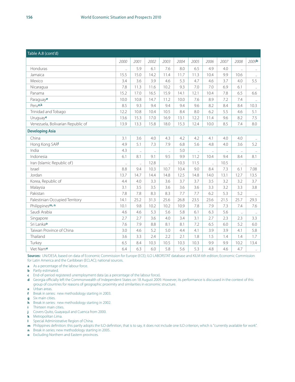| Table A.8 (cont'd)                |                      |           |      |           |      |                      |                      |                      |                      |                      |
|-----------------------------------|----------------------|-----------|------|-----------|------|----------------------|----------------------|----------------------|----------------------|----------------------|
|                                   | 2000                 | 2001      | 2002 | 2003      | 2004 | 2005                 | 2006                 | 2007                 | 2008                 | 2009 <b>b</b>        |
| Honduras                          | $\ddot{\phantom{a}}$ | 5.9       | 6.1  | 7.6       | 8.0  | 6.5                  | 4.9                  | 4.0                  | $\ddot{\phantom{a}}$ | $\ddotsc$            |
| Jamaica                           | 15.5                 | 15.0      | 14.2 | 11.4      | 11.7 | 11.3                 | 10.4                 | 9.9                  | 10.6                 | $\ddotsc$            |
| Mexico                            | 3.4                  | 3.6       | 3.9  | 4.6       | 5.3  | 4.7                  | 4.6                  | 3.7                  | 4.0                  | 5.5                  |
| Nicaragua                         | 7.8                  | 11.3      | 11.6 | 10.2      | 9.3  | 7.0                  | 7.0                  | 6.9                  | 6.1                  | $\ldots$             |
| Panama                            | 15.2                 | 17.0      | 16.5 | 15.9      | 14.1 | 12.1                 | 10.4                 | 7.8                  | 6.5                  | 6.6                  |
| Paraguaye                         | 10.0                 | 10.8      | 14.7 | 11.2      | 10.0 | 7.6                  | 8.9                  | 7.2                  | 7.4                  | $\ddotsc$            |
| Perue,k                           | 8.5                  | 9.3       | 9.4  | 9.4       | 9.4  | 9.6                  | 8.2                  | 8.4                  | 8.4                  | 10.3                 |
| Trinidad and Tobago               | 12.2                 | 10.8      | 10.4 | 10.5      | 8.4  | 8.0                  | 6.2                  | 5.5                  | 4.6                  | 5.1                  |
| Uruguaye                          | 13.6                 | 15.3      | 17.0 | 16.9      | 13.1 | 12.2                 | 11.4                 | 9.6                  | 8.2                  | 7.5                  |
| Venezuela, Bolivarian Republic of | 13.9                 | 13.3      | 15.8 | 18.0      | 15.3 | 12.4                 | 10.0                 | 8.5                  | 7.4                  | 8.0                  |
| <b>Developing Asia</b>            |                      |           |      |           |      |                      |                      |                      |                      |                      |
| China                             | 3.1                  | 3.6       | 4.0  | 4.3       | 4.2  | 4.2                  | 4.1                  | 4.0                  | 4.0                  | $\ddotsc$            |
| Hong Kong SARI                    | 4.9                  | 5.1       | 7.3  | 7.9       | 6.8  | 5.6                  | 4.8                  | 4.0                  | 3.6                  | 5.2                  |
| India                             | 4.3                  | $\ddotsc$ | ä,   | $\ddotsc$ | 5.0  | $\ddot{\phantom{a}}$ | $\ddotsc$            | $\ddot{\phantom{a}}$ | $\ddotsc$            | $\ddot{\phantom{a}}$ |
| Indonesia                         | 6.1                  | 8.1       | 9.1  | 9.5       | 9.9  | 11.2                 | 10.4                 | 9.4                  | 8.4                  | 8.1                  |
| Iran (Islamic Republic of)        | $\ddotsc$            | $\ddotsc$ | 12.8 | $\ddotsc$ | 10.3 | 11.5                 | $\ddot{\phantom{a}}$ | 10.5                 | $\ddots$             | $\ldots$             |
| Israel                            | 8.8                  | 9.4       | 10.3 | 10.7      | 10.4 | 9.0                  | 8.4                  | 7.3                  | 6.1                  | 7.08                 |
| Jordan                            | 13.7                 | 14.7      | 14.4 | 14.8      | 12.5 | 14.8                 | 14.0                 | 13.1                 | 12.7                 | 13.5                 |
| Korea, Republic of                | 4.4                  | 4.0       | 3.3  | 3.6       | 3.7  | 3.7                  | 3.5                  | 3.2                  | 3.2                  | 3.7                  |
| Malaysia                          | 3.1                  | 3.5       | 3.5  | 3.6       | 3.6  | 3.6                  | 3.3                  | 3.2                  | 3.3                  | 3.8                  |
| Pakistan                          | 7.8                  | 7.8       | 8.3  | 8.3       | 7.7  | 7.7                  | 6.2                  | 5.3                  | 5.2                  | $\ddot{\phantom{1}}$ |
| Palestinian Occupied Territory    | 14.1                 | 25.2      | 31.3 | 25.6      | 26.8 | 23.5                 | 23.6                 | 21.5                 | 25.7                 | 29.3                 |
| Philippinesm, n                   | 10.1                 | 9.8       | 10.2 | 10.2      | 10.9 | 7.8                  | 7.9                  | 7.3                  | 7.4                  | 7.6                  |
| Saudi Arabia                      | 4.6                  | 4.6       | 5.3  | 5.6       | 5.8  | 6.1                  | 6.3                  | 5.6                  | $\ldots$             | $\ldots$             |
| Singapore                         | 2.7                  | 2.7       | 3.6  | 4.0       | 3.4  | 3.1                  | 2.7                  | 2.3                  | 2.3                  | 3.3                  |
| Sri Lanka <b>o</b>                | 7.6                  | 7.9       | 8.8  | 8.1       | 8.1  | 7.2                  | 6.5                  | 6.0                  | 5.2                  | 6.0                  |
| Taiwan Province of China          | 3.0                  | 4.6       | 5.2  | 5.0       | 4.4  | 4.1                  | 3.9                  | 3.9                  | 4.1                  | 5.8                  |
| Thailand                          | 3.6                  | 3.3       | 2.4  | 2.2       | 2.1  | 1.8                  | 1.5                  | 1.4                  | 1.4                  | 1.7                  |
| Turkey                            | 6.5                  | 8.4       | 10.3 | 10.5      | 10.3 | 10.3                 | 9.9                  | 9.9                  | 10.2                 | 13.4                 |
| Viet Name                         | 6.4                  | 6.3       | 6.0  | 5.8       | 5.6  | 5.3                  | 4.8                  | 4.6                  | 4.7                  | $\ddot{\phantom{1}}$ |

**Sources:** UN/DESA, based on data of Economic Commission for Europe (ECE); ILO LABORSTAT database and KILM 6th edition; Economic Commission for Latin America and the Caribbean (ECLAC); national sources.

- **a** As a percentage of the labour force.
- **b** Partly estimated.
- **c** End-of-period registered unemployment data (as a percentage of the labour force).
- **d** Georgia officially left the Commonwealth of Independent States on 18 August 2009. However, its performance is discussed in the context of this group of countries for reasons of geographic proximity and similarities in economic structure.
- **e** Urban areas.
- **f** Break in series: new methodology starting in 2003.
- **g** Six main cities.
- **h** Break in series: new methodology starting in 2002.
- **i** Thirteen main cities.
- **j** Covers Quito, Guayaquil and Cuenca from 2000.
- **k** Metropolitan Lima.
- **l** Special Administrative Region of China.
- **m** Philippines definition: this partly adopts the ILO definition, that is to say, it does not include one ILO criterion, which is "currently available for work".
- **n** Break in series: new methodology starting in 2005.
- **o** Excluding Northern and Eastern provinces.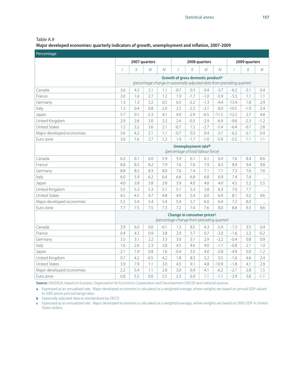Table A.9

**Major developed economies: quarterly indicators of growth, unemployment and inflation, 2007-2009**

| Percentage                |                |               |               |        |                                               |                           |               |         |                                                                        |               |        |
|---------------------------|----------------|---------------|---------------|--------|-----------------------------------------------|---------------------------|---------------|---------|------------------------------------------------------------------------|---------------|--------|
|                           |                |               | 2007 quarters |        |                                               |                           | 2008 quarters |         |                                                                        | 2009 quarters |        |
|                           | $\overline{1}$ | $\mathcal{U}$ | III           | IV     |                                               | $\mathcal{U}$             | III           | IV      |                                                                        | $\mathcal{U}$ |        |
|                           |                |               |               |        | Growth of gross domestic product <sup>a</sup> |                           |               |         |                                                                        |               |        |
|                           |                |               |               |        |                                               |                           |               |         | (percentage change in seasonally adjusted data from preceding quarter) |               |        |
| Canada                    | 3.6            | 4.2           | 2.1           | 1.1    | $-0.7$                                        | 0.3                       | 0.4           | $-3.7$  | $-6.2$                                                                 | $-3.1$        | 0.4    |
| France                    | 3.0            | 1.6           | 2.7           | 1.2    | 1.9                                           | $-1.7$                    | $-1.0$        | $-5.9$  | $-5.5$                                                                 | 1.1           | 1.1    |
| Germany                   | 1.3            | 1.3           | 3.2           | 0.5    | 6.5                                           | $-2.2$                    | $-1.3$        | $-9.4$  | $-13.4$                                                                | 1.8           | 2.9    |
| Italy                     | 1.2            | 0.4           | 0.8           | $-2.0$ | 2.2                                           | $-2.2$                    | $-3.1$        | $-8.0$  | $-10.5$                                                                | $-1.9$        | 2.4    |
| Japan                     | 5.7            | 0.1           | $-2.3$        | 4.1    | 4.0                                           | $-2.9$                    | $-6.5$        | $-11.5$ | $-12.2$                                                                | 2.7           | 4.8    |
| United Kingdom            | 2.9            | 2.6           | 2.0           | 2.2    | 2.4                                           | $-0.3$                    | $-2.9$        | $-6.9$  | $-9.6$                                                                 | $-2.3$        | $-1.2$ |
| <b>United States</b>      | 1.2            | 3.2           | 3.6           | 2.1    | $-0.7$                                        | 1.5                       | $-2.7$        | $-5.4$  | $-6.4$                                                                 | $-0.7$        | 2.8    |
| Major developed economies | 3.6            | 4.2           | 2.1           | 1.1    | $-0.7$                                        | 0.3                       | 0.4           | $-3.7$  | $-6.2$                                                                 | $-3.1$        | 0.4    |
| Euro zone                 | 3.0            | 1.6           | 2.7           | 1.2    | 1.9                                           | $-1.7$                    | $-1.0$        | $-5.9$  | $-5.5$                                                                 | 1.1           | 1.1    |
|                           |                |               |               |        |                                               | <b>Unemployment rateb</b> |               |         |                                                                        |               |        |
|                           |                |               |               |        | (percentage of total labour force)            |                           |               |         |                                                                        |               |        |
| Canada                    | 6.2            | 6.1           | 6.0           | 5.9    | 5.9                                           | 6.1                       | 6.1           | 6.4     | 7.6                                                                    | 8.4           | 8.6    |
| France                    | 8.8            | 8.5           | 8.2           | 7.9    | 7.6                                           | 7.6                       | 7.9           | 8.3     | 8.9                                                                    | 9.4           | 9.8    |
| Germany                   | 8.8            | 8.5           | 8.3           | 8.0    | 7.6                                           | 7.4                       | 7.1           | 7.1     | 7.3                                                                    | 7.6           | 7.6    |
| Italy                     | 6.0            | 5.9           | 6.2           | 6.4    | 6.6                                           | 6.8                       | 6.8           | 6.9     | 7.4                                                                    | 7.4           |        |
| Japan                     | 4.0            | 3.8           | 3.8           | 3.8    | 3.9                                           | 4.0                       | 4.0           | 4.0     | 4.5                                                                    | 5.2           | 5.5    |
| United Kingdom            | 5.5            | 5.3           | 5.3           | 5.1    | 5.1                                           | 5.3                       | 5.8           | 6.3     | 7.0                                                                    | 7.7           |        |
| <b>United States</b>      | 4.5            | 4.5           | 4.7           | 4.8    | 4.9                                           | 5.4                       | 6.0           | 6.9     | 8.1                                                                    | 9.2           | 9.6    |
| Major developed economies | 5.5            | 5.4           | 5.4           | 5.4    | 5.4                                           | 5.7                       | 6.0           | 6.4     | 7.2                                                                    | 8.0           | ä,     |
| Euro zone                 | 7.7            | 7.5           | 7.5           | 7.3    | 7.2                                           | 7.4                       | 7.6           | 8.0     | 8.8                                                                    | 9.3           | 9.6    |
|                           |                |               |               |        | Change in consumer pricesc                    |                           |               |         |                                                                        |               |        |
|                           |                |               |               |        | (percentage change from preceding quarter)    |                           |               |         |                                                                        |               |        |
| Canada                    | 3.9            | 6.0           | 0.0           | $-0.1$ | 1.3                                           | 8.5                       | 4.3           | $-5.9$  | $-1.3$                                                                 | 3.5           | 0.4    |
| France                    | 0.4            | 4.3           | 0.9           | 3.8    | 2.9                                           | 5.7                       | 0.7           | $-2.0$  | $-1.6$                                                                 | 2.2           | $-0.2$ |
| Germany                   | 3.5            | 3.1           | 2.2           | 3.3    | 3.0                                           | 3.1                       | 2.9           | $-2.2$  | $-0.4$                                                                 | 0.8           | 0.9    |
| Italy                     | 1.6            | 2.6           | 2.3           | 2.8    | 4.5                                           | 4.6                       | 4.0           | $-1.7$  | $-0.8$                                                                 | 2.1           | 1.0    |
| Japan                     | $-2.1$         | 1.9           | 0.8           | 1.6    | $-0.4$                                        | 3.5                       | 4.0           | $-2.8$  | $-4.9$                                                                 | 0.0           | $-1.2$ |
| United Kingdom            | 0.7            | 4.2           | $-0.5$        | 4.2    | 1.8                                           | 8.3                       | 5.2           | 0.5     | $-1.6$                                                                 | 4.6           | 2.4    |
| <b>United States</b>      | 3.9            | 7.9           | 1.1           | 3.0    | 4.5                                           | 9.1                       | 4.8           | $-10.9$ | $-1.8$                                                                 | 4.1           | 2.9    |
| Major developed economies | 2.2            | 5.4           | 1.1           | 2.8    | 3.0                                           | 6.9                       | 4.1           | $-6.2$  | $-2.1$                                                                 | 2.8           | 1.5    |
| Euro zone                 | 0.8            | 5.5           | 0.0           | 5.5    | 2.3                                           | 6.9                       | 1.1           | $-1.1$  | $-2.9$                                                                 | 3.8           | $-1.1$ |

**Source:** UN/DESA, based on Eurostat, Organization for Economic Cooperation and Development (OECD) and national sources.

**a** Expressed as an annualized rate. Major developed economies is calculated as a weighted average, where weights are based on annual GDP valued in 2005 prices and exchange rates.

**b** Seasonally adjusted data as standardized by OECD.

**c** Expressed as an annualized rate. Major developed economies is calculated as a weighted average, where weights are based on 2005 GDP in United States dollars.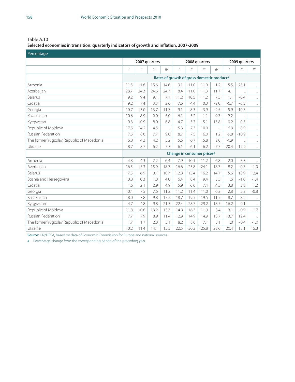#### **Selected economies in transition: quarterly indicators of growth and inflation, 2007-2009**

| Percentage                                |                          |               |               |                      |                                                        |               |        |           |         |                      |                      |
|-------------------------------------------|--------------------------|---------------|---------------|----------------------|--------------------------------------------------------|---------------|--------|-----------|---------|----------------------|----------------------|
|                                           |                          |               | 2007 quarters |                      |                                                        | 2008 quarters |        |           |         | 2009 quarters        |                      |
|                                           |                          | $\mathcal{U}$ |               | IV                   |                                                        | $\mathcal{U}$ |        | IV        |         | $\frac{1}{2}$        |                      |
|                                           |                          |               |               |                      | Rates of growth of gross domestic product <sup>a</sup> |               |        |           |         |                      |                      |
| Armenia                                   | 11.5                     | 11.6          | 15.6          | 14.6                 | 9.1                                                    | 11.0          | 11.0   | $-1.2$    | $-5.5$  | $-23.1$              | $\ddot{\phantom{a}}$ |
| Azerbaijan                                | 28.7                     | 24.3          | 24.6          | 24.7                 | 8.4                                                    | 11.0          | 11.3   | 11.7      | 4.1     | $\ddot{\phantom{a}}$ | $\ddot{\phantom{a}}$ |
| <b>Belarus</b>                            | 9.2                      | 9.4           | 9.1           | 7.1                  | 11.2                                                   | 10.5          | 11.2   | 7.5       | 1.1     | $-0.4$               | $\ddot{\phantom{0}}$ |
| Croatia                                   | 9.2                      | 7.4           | 3.3           | 2.6                  | 7.6                                                    | 4.4           | 0.0    | $-2.0$    | $-6.7$  | $-6.3$               | $\ddot{\phantom{a}}$ |
| Georgia                                   | 10.7                     | 13.0          | 13.7          | 11.7                 | 9.1                                                    | 8.3           | $-3.9$ | $-2.5$    | $-5.9$  | $-10.7$              | $\ddot{\phantom{a}}$ |
| Kazakhstan                                | 10.6                     | 8.9           | 9.0           | 5.0                  | 6.1                                                    | 5.2           | 1.1    | 0.7       | $-2.2$  |                      | $\ldots$             |
| Kyrgyzstan                                | 9.3                      | 10.9          | 8.0           | 6.8                  | 4.7                                                    | 5.7           | 5.1    | 13.8      | 0.2     | 0.5                  | $\ldots$             |
| Republic of Moldova                       | 17.5                     | 24.2          | 4.5           | $\ddot{\phantom{1}}$ | 5.3                                                    | 7.3           | 10.0   | $\ddotsc$ | $-6.9$  | $-8.9$               | $\ldots$             |
| Russian Federation                        | 7.5                      | 8.0           | 7.7           | 9.0                  | 8.7                                                    | 7.5           | 6.0    | 1.2       | $-9.8$  | $-10.9$              | $\ddots$             |
| The former Yugoslav Republic of Macedonia | 4.3<br>5.2<br>6.8<br>4.2 |               |               |                      |                                                        | 6.7           | 5.8    | 2.0       | $-0.9$  |                      | $\ddot{\phantom{a}}$ |
| Ukraine                                   | 8.7                      | 8.7           | 6.2           | 7.3                  | 6.1                                                    | 6.1           | 6.2    | $-7.7$    | $-20.4$ | $-17.9$              |                      |
|                                           |                          |               |               |                      | Change in consumer prices <sup>a</sup>                 |               |        |           |         |                      |                      |
| Armenia                                   | 4.8                      | 4.3           | 2.2           | 6.4                  | 7.9                                                    | 10.1          | 11.2   | 6.8       | 2.0     | 3.3                  | $\ldots$             |
| Azerbaijan                                | 16.5                     | 15.3          | 15.9          | 18.7                 | 16.6                                                   | 23.8          | 24.1   | 18.7      | 8.2     | $-0.7$               | $-1.0$               |
| <b>Belarus</b>                            | 7.5                      | 6.9           | 8.1           | 10.7                 | 12.8                                                   | 15.4          | 16.2   | 14.7      | 15.6    | 13.9                 | 12.4                 |
| Bosnia and Herzegovina                    | 0.8                      | 0.3           | 1.0           | 4.0                  | 6.4                                                    | 8.4           | 9.4    | 5.5       | 1.6     | $-1.0$               | $-1.4$               |
| Croatia                                   | 1.6                      | 2.1           | 2.9           | 4.9                  | 5.9                                                    | 6.6           | 7.4    | 4.5       | 3.8     | 2.8                  | 1.2                  |
| Georgia                                   | 10.4                     | 7.5           | 7.6           | 11.2                 | 11.2                                                   | 11.4          | 11.0   | 6.3       | 2.8     | 2.3                  | $-0.8$               |
| Kazakhstan                                | 8.0                      | 7.8           | 9.8           | 17.2                 | 18.7                                                   | 19.5          | 19.5   | 11.5      | 8.7     | 8.2                  | $\ddotsc$            |
| Kyrgyzstan                                | 4.7                      | 4.8           | 9.8           | 21.3                 | 22.4                                                   | 28.7          | 29.2   | 18.5      | 16.2    | 9.1                  | $\ddot{\phantom{a}}$ |
| Republic of Moldova                       | 11.8                     | 10.6          | 13.2          | 13.7                 | 14.9                                                   | 16.3          | 11.9   | 8.4       | 3.1     | $-0.9$               | $-1.7$               |
| <b>Russian Federation</b>                 | 7.7                      | 7.9           | 8.9           | 11.4                 | 12.9                                                   | 14.9          | 14.9   | 13.7      | 13.7    | 12.4                 | $\ldots$             |
| The former Yugoslav Republic of Macedonia | 1.7                      | 1.7           | 2.8           | 5.1                  | 8.2                                                    | 8.6           | 7.1    | 5.1       | 1.0     | $-0.4$               | $-1.0$               |
| Ukraine                                   | 10.2                     | 11.4          | 14.1          | 15.5                 | 22.5                                                   | 30.2          | 25.8   | 22.6      | 20.4    | 15.1                 | 15.3                 |

**Source:** UN/DESA, based on data of Economic Commission for Europe and national sources.

**a** Percentage change from the corresponding period of the preceding year.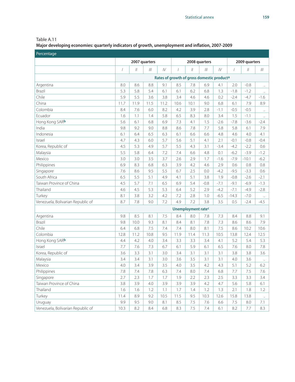**Major developing economies: quarterly indicators of growth, unemployment and inflation, 2007-2009**

| Percentage                        |                                                 |               |      |             |                                                        |                           |        |        |                |               |                      |
|-----------------------------------|-------------------------------------------------|---------------|------|-------------|--------------------------------------------------------|---------------------------|--------|--------|----------------|---------------|----------------------|
|                                   | 2007 quarters<br>2008 quarters<br>2009 quarters |               |      |             |                                                        |                           |        |        |                |               |                      |
|                                   |                                                 | $\frac{1}{2}$ |      | ${\cal IV}$ | $\overline{1}$                                         | $\mathcal{U}$             |        | IV     | $\overline{1}$ | $\mathcal{U}$ |                      |
|                                   |                                                 |               |      |             | Rates of growth of gross domestic product <sup>a</sup> |                           |        |        |                |               |                      |
| Argentina                         | 8.0                                             | 8.6           | 8.8  | 9.1         | 8.5                                                    | 7.8                       | 6.9    | 4.1    | 2.0            | $-0.8$        | $\ddot{\phantom{1}}$ |
| Brazil                            | 5.3                                             | 5.8           | 5.4  | 6.1         | 6.1                                                    | 6.2                       | 6.8    | 1.3    | $-1.8$         | $-1.2$        | u,                   |
| Chile                             | 5.9                                             | 5.5           | 3.6  | 3.8         | 3.4                                                    | 4.6                       | 4.6    | 0.2    | $-2.4$         | $-4.7$        | $-1.6$               |
| China                             | 11.7                                            | 11.9          | 11.5 | 11.2        | 10.6                                                   | 10.1                      | 9.0    | 6.8    | 6.1            | 7.9           | 8.9                  |
| Colombia                          | 8.4                                             | 7.6           | 6.0  | 8.2         | 4.2                                                    | 3.9                       | 2.8    | $-1.1$ | $-0.5$         | $-0.5$        | $\ddotsc$            |
| Ecuador                           | 1.6                                             | 1.1           | 1.4  | 5.8         | 6.5                                                    | 8.3                       | 8.0    | 3.4    | 1.5            | $-1.1$        | $\ldots$             |
| Hong Kong SARb                    | 5.6                                             | 6.1           | 6.8  | 6.9         | 7.3                                                    | 4.1                       | 1.5    | $-2.6$ | $-7.8$         | $-3.6$        | $-2.4$               |
| India                             | 9.8                                             | 9.2           | 9.0  | 8.8         | 8.6                                                    | 7.8                       | 7.7    | 5.8    | 5.8            | 6.1           | 7.9                  |
| Indonesia                         | 6.1                                             | 6.4           | 6.5  | 6.3         | 6.1                                                    | 6.6                       | 6.6    | 4.8    | 4.6            | 4.0           | 4.1                  |
| Israel                            | 4.7                                             | 4.3           | 6.0  | 5.7         | 5.6                                                    | 5.1                       | 4.1    | 2.1    | $-0.1$         | $-0.8$        | $-0.4$               |
| Korea, Republic of                | 4.5                                             | 5.3           | 4.9  | 5.7         | 5.5                                                    | 4.3                       | 3.1    | $-3.4$ | $-4.2$         | $-2.2$        | 0.6                  |
| Malaysia                          | 5.5                                             | 5.8           | 6.4  | 7.2         | 7.4                                                    | 6.6                       | 4.8    | 0.1    | $-6.2$         | $-3.9$        | $-1.2$               |
| Mexico                            | 3.0                                             | 3.0           | 3.5  | 3.7         | 2.6                                                    | 2.9                       | 1.7    | $-1.6$ | $-7.9$         | $-10.1$       | $-6.2$               |
| Philippines                       | 6.9                                             | 8.3           | 6.8  | 6.3         | 3.9                                                    | 4.2                       | 4.6    | 2.9    | 0.6            | 0.8           | 0.8                  |
| Singapore                         | 7.6                                             | 8.6           | 9.5  | 5.5         | 6.7                                                    | 2.5                       | 0.0    | $-4.2$ | $-9.5$         | $-3.3$        | 0.6                  |
| South Africa                      | 6.5                                             | 5.5           | 5.1  | 4.9         | 4.1                                                    | 5.1                       | 3.8    | 1.9    | $-0.8$         | $-2.6$        | $-2.1$               |
| Taiwan Province of China          | 4.5                                             | 5.7           | 7.1  | 6.5         | 6.9                                                    | 5.4                       | $-0.8$ | $-7.1$ | $-9.1$         | $-6.9$        | $-1.3$               |
| Thailand                          | 4.6                                             | 4.5           | 5.3  | 5.3         | 6.4                                                    | 5.2                       | 2.9    | $-4.2$ | $-7.1$         | $-4.9$        | $-2.8$               |
| Turkey                            | 8.1                                             | 3.8           | 3.2  | 4.2         | 7.2                                                    | 2.8                       | 1.0    | $-6.5$ | $-14.3$        | $-7.0$        | $\ldots$             |
| Venezuela, Bolivarian Republic of | 8.7                                             | 7.8           | 9.0  | 7.2         | 4.9                                                    | 7.2                       | 3.8    | 3.5    | 0.5            | $-2.4$        | $-4.5$               |
|                                   |                                                 |               |      |             |                                                        | <b>Unemployment ratec</b> |        |        |                |               |                      |
| Argentina                         | 9.8                                             | 8.5           | 8.1  | 7.5         | 8.4                                                    | 8.0                       | 7.8    | 7.3    | 8.4            | 8.8           | 9.1                  |
| Brazil                            | 9.8                                             | 10.0          | 9.3  | 8.1         | 8.4                                                    | 8.1                       | 7.8    | 7.3    | 8.6            | 8.6           | 7.9                  |
| Chile                             | 6.4                                             | 6.8           | 7.5  | 7.4         | 7.4                                                    | 8.0                       | 8.1    | 7.5    | 8.6            | 10.2          | 10.6                 |
| Colombia                          | 12.8                                            | 11.2          | 10.8 | 9.5         | 11.9                                                   | 11.4                      | 11.3   | 10.5   | 13.8           | 12.4          | 12.5                 |
| Hong Kong SARb                    | 4.4                                             | 4.2           | 4.0  | 3.4         | 3.3                                                    | 3.3                       | 3.4    | 4.1    | 5.2            | 5.4           | 5.3                  |
| Israel                            | 7.7                                             | 7.6           | 7.3  | 6.7         | 6.1                                                    | 5.9                       | 6.1    | 6.5    | 7.6            | 8.0           | 7.8                  |
| Korea, Republic of                | 3.6                                             | 3.3           | 3.1  | 3.0         | 3.4                                                    | 3.1                       | 3.1    | 3.1    | 3.8            | 3.8           | 3.6                  |
| Malaysia                          | 3.4                                             | 3.4           | 3.1  | 3.0         | 3.6                                                    | 3.5                       | 3.1    | 3.1    | 4.0            | 3.6           | $\ldots$             |
| Mexico                            | 4.0                                             | 3.4           | 3.9  | 3.5         | 4.0                                                    | 3.5                       | 4.2    | 4.3    | 5.1            | 5.2           | 6.2                  |
| Philippines                       | 7.8                                             | 7.4           | 7.8  | 6.3         | 7.4                                                    | 8.0                       | 7.4    | 6.8    | 7.7            | $7.5\,$       | 7.6                  |
| Singapore                         | 2.7                                             | 2.3           | 1.7  | 1.7         | 1.9                                                    | 2.2                       | 2.3    | 2.5    | 3.3            | 3.3           | 3.4                  |
| Taiwan Province of China          | 3.8                                             | 3.9           | 4.0  | 3.9         | 3.9                                                    | 3.9                       | 4.2    | 4.7    | 5.6            | 5.8           | 6.1                  |
| Thailand                          | 1.6                                             | 1.6           | 1.2  | 1.1         | 1.7                                                    | 1.4                       | 1.2    | 1.3    | 2.1            | 1.8           | 1.2                  |
| Turkey                            | 11.4                                            | 8.9           | 9.2  | 10.5        | 11.5                                                   | 9.5                       | 10.3   | 12.6   | 15.8           | 13.8          | $\ldots$             |
| Uruguay                           | 9.9                                             | 9.5           | 9.0  | 8.1         | 8.5                                                    | $7.5\,$                   | 7.6    | 6.6    | 7.5            | 8.0           | 7.1                  |
| Venezuela, Bolivarian Republic of | 10.3                                            | 8.2           | 8.4  | 6.8         | 8.3                                                    | 7.5                       | 7.4    | 6.1    | 8.2            | 7.7           | 8.3                  |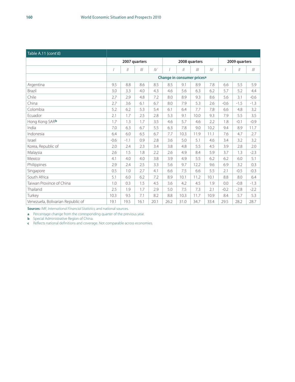| Table A.11 (cont'd)               |        |               |               |      |                                        |               |               |      |        |               |        |
|-----------------------------------|--------|---------------|---------------|------|----------------------------------------|---------------|---------------|------|--------|---------------|--------|
|                                   |        |               | 2007 quarters |      |                                        |               | 2008 quarters |      |        | 2009 quarters |        |
|                                   |        | $\frac{1}{2}$ |               | IV   |                                        | $\mathcal{U}$ | III           | IV   |        | $\vert$       |        |
|                                   |        |               |               |      | Change in consumer prices <sup>a</sup> |               |               |      |        |               |        |
| Argentina                         | 9.5    | 8.8           | 8.6           | 8.5  | 8.5                                    | 9.1           | 8.9           | 7.8  | 6.6    | 5.5           | 5.9    |
| Brazil                            | 3.0    | 3.3           | 4.0           | 4.3  | 4.6                                    | 5.6           | 6.3           | 6.2  | 5.7    | 5.2           | 4.4    |
| Chile                             | 2.7    | 2.9           | 4.8           | 7.2  | 8.0                                    | 8.9           | 9.3           | 8.6  | 5.6    | 3.1           | $-0.6$ |
| China                             | 2.7    | 3.6           | 6.1           | 6.7  | 8.0                                    | 7.9           | 5.3           | 2.6  | $-0.6$ | $-1.5$        | $-1.3$ |
| Colombia                          | 5.2    | 6.2           | 5.3           | 5.4  | 6.1                                    | 6.4           | 7.7           | 7.8  | 6.6    | 4.8           | 3.2    |
| Ecuador                           | 2.1    | 1.7           | 2.5           | 2.8  | 5.3                                    | 9.1           | 10.0          | 9.3  | 7.9    | 5.5           | 3.5    |
| Hong Kong SARb                    | 1.7    | 1.3           | 1.7           | 3.5  | 4.6                                    | 5.7           | 4.6           | 2.2  | 1.8    | $-0.1$        | $-0.9$ |
| India                             | 7.0    | 6.3           | 6.7           | 5.5  | 6.3                                    | 7.8           | 9.0           | 10.2 | 9.4    | 8.9           | 11.7   |
| Indonesia                         | 6.4    | 6.0           | 6.5           | 6.7  | 7.7                                    | 10.3          | 11.9          | 11.1 | 7.6    | 4.7           | 2.7    |
| Israel                            | $-0.6$ | $-1.1$        | 0.9           | 2.8  | 3.6                                    | 5.0           | 5.1           | 4.6  | 3.4    | 3.2           | 3.2    |
| Korea, Republic of                | 2.0    | 2.4           | 2.3           | 3.4  | 3.8                                    | 4.8           | 5.5           | 4.5  | 3.9    | 2.8           | 2.0    |
| Malaysia                          | 2.6    | 1.5           | 1.8           | 2.2  | 2.6                                    | 4.9           | 8.4           | 5.9  | 3.7    | 1.3           | $-2.3$ |
| Mexico                            | 4.1    | 4.0           | 4.0           | 3.8  | 3.9                                    | 4.9           | 5.5           | 6.2  | 6.2    | 6.0           | 5.1    |
| Philippines                       | 2.9    | 7.4           | 2.5           | 3.3  | 5.6                                    | 9.7           | 12.2          | 9.6  | 6.9    | 3.2           | 0.3    |
| Singapore                         | 0.5    | 1.0           | 2.7           | 4.1  | 6.6                                    | 7.5           | 6.6           | 5.5  | 2.1    | $-0.5$        | $-0.3$ |
| South Africa                      | 5.1    | 6.0           | 6.2           | 7.2  | 8.9                                    | 10.1          | 11.2          | 10.1 | 8.8    | 8.0           | 6.4    |
| Taiwan Province of China          | 1.0    | 0.3           | 1.5           | 4.5  | 3.6                                    | 4.2           | 4.5           | 1.9  | 0.0    | $-0.8$        | $-1.3$ |
| Thailand                          | 2.5    | 1.9           | 1.7           | 2.9  | 5.0                                    | 7.5           | 7.3           | 2.1  | $-0.2$ | $-2.8$        | $-2.2$ |
| Turkey                            | 10.3   | 9.5           | 7.1           | 8.2  | 8.8                                    | 10.3          | 11.7          | 10.9 | 8.4    | 5.7           | 5.3    |
| Venezuela, Bolivarian Republic of | 19.1   | 19.5          | 16.1          | 20.1 | 26.2                                   | 31.0          | 34.7          | 33.4 | 29.5   | 28.2          | 28.7   |

**Sources:** IMF, *International Financial Statistics,* and national sources.

**a** Percentage change from the corresponding quarter of the previous year.

**b** Special Administrative Region of China.

**c** Reflects national definitions and coverage. Not comparable across economies.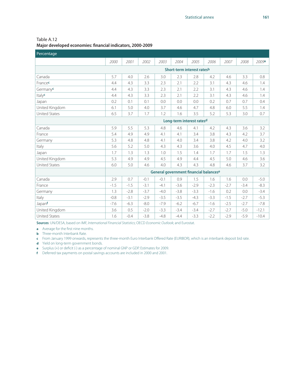| Percentage           |        |        |        |        |        |                                        |        |        |        |         |
|----------------------|--------|--------|--------|--------|--------|----------------------------------------|--------|--------|--------|---------|
|                      | 2000   | 2001   | 2002   | 2003   | 2004   | 2005                                   | 2006   | 2007   | 2008   | 2009a   |
|                      |        |        |        |        |        | Short-term interest ratesb             |        |        |        |         |
| Canada               | 5.7    | 4.0    | 2.6    | 3.0    | 2.3    | 2.8                                    | 4.2    | 4.6    | 3.3    | 0.8     |
| Francec              | 4.4    | 4.3    | 3.3    | 2.3    | 2.1    | 2.2                                    | 3.1    | 4.3    | 4.6    | 1.4     |
| Germanyc             | 4.4    | 4.3    | 3.3    | 2.3    | 2.1    | 2.2                                    | 3.1    | 4.3    | 4.6    | 1.4     |
| Italyc               | 4.4    | 4.3    | 3.3    | 2.3    | 2.1    | 2.2                                    | 3.1    | 4.3    | 4.6    | 1.4     |
| Japan                | 0.2    | 0.1    | 0.1    | 0.0    | 0.0    | 0.0                                    | 0.2    | 0.7    | 0.7    | 0.4     |
| United Kingdom       | 6.1    | 5.0    | 4.0    | 3.7    | 4.6    | 4.7                                    | 4.8    | 6.0    | 5.5    | 1.4     |
| <b>United States</b> | 6.5    | 3.7    | 1.7    | 1.2    | 1.6    | 3.5                                    | 5.2    | 5.3    | 3.0    | 0.7     |
|                      |        |        |        |        |        | Long-term interest ratesd              |        |        |        |         |
| Canada               | 5.9    | 5.5    | 5.3    | 4.8    | 4.6    | 4.1                                    | 4.2    | 4.3    | 3.6    | 3.2     |
| France               | 5.4    | 4.9    | 4.9    | 4.1    | 4.1    | 3.4                                    | 3.8    | 4.3    | 4.2    | 3.7     |
| Germany              | 5.3    | 4.8    | 4.8    | 4.1    | 4.0    | 3.4                                    | 3.8    | 4.2    | 4.0    | 3.2     |
| Italy                | 5.6    | 5.2    | 5.0    | 4.3    | 4.3    | 3.6                                    | 4.0    | 4.5    | 4.7    | 4.0     |
| Japan                | 1.7    | 1.3    | 1.3    | 1.0    | 1.5    | 1.4                                    | 1.7    | 1.7    | 1.5    | 1.3     |
| United Kingdom       | 5.3    | 4.9    | 4.9    | 4.5    | 4.9    | 4.4                                    | 4.5    | 5.0    | 4.6    | 3.6     |
| <b>United States</b> | 6.0    | 5.0    | 4.6    | 4.0    | 4.3    | 4.3                                    | 4.8    | 4.6    | 3.7    | 3.2     |
|                      |        |        |        |        |        | General government financial balancese |        |        |        |         |
| Canada               | 2.9    | 0.7    | $-0.1$ | $-0.1$ | 0.9    | 1.5                                    | 1.6    | 1.6    | 0.0    | $-5.0$  |
| France               | $-1.5$ | $-1.5$ | $-3.1$ | $-4.1$ | $-3.6$ | $-2.9$                                 | $-2.3$ | $-2.7$ | $-3.4$ | $-8.3$  |
| Germany              | 1.3    | $-2.8$ | $-3.7$ | $-4.0$ | $-3.8$ | $-3.3$                                 | $-1.6$ | 0.2    | 0.0    | $-3.4$  |
| Italy                | $-0.8$ | $-3.1$ | $-2.9$ | $-3.5$ | $-3.5$ | $-4.3$                                 | $-3.3$ | $-1.5$ | $-2.7$ | $-5.3$  |
| Japanf               | $-7.6$ | $-6.3$ | $-8.0$ | $-7.9$ | $-6.2$ | $-6.7$                                 | $-1.6$ | $-2.5$ | $-2.7$ | $-7.8$  |
| United Kingdom       | 3.6    | 0.5    | $-2.0$ | $-3.3$ | $-3.4$ | $-3.4$                                 | $-2.7$ | $-2.7$ | $-5.0$ | $-12.1$ |
| <b>United States</b> | 1.6    | $-0.4$ | $-3.8$ | $-4.8$ | $-4.4$ | $-3.3$                                 | $-2.2$ | $-2.9$ | $-5.9$ | $-10.4$ |

Table A.12 **Major developed economies: financial indicators, 2000-2009** 

**Sources**: UN/DESA, based on IMF, *International Financial Statistics*; OECD *Economic Outlook*; and Eurostat.

**a** Average for the first nine months.

**b** Three-month Interbank Rate.

**c** From January 1999 onwards, represents the three-month Euro Interbank Offered Rate (EURIBOR), which is an interbank deposit bid rate.

**d** Yield on long-term government bonds.

**e** Surplus (+) or deficit (-) as a percentage of nominal GNP or GDP. Estimates for 2009.

**f** Deferred tax payments on postal savings accounts are included in 2000 and 2001.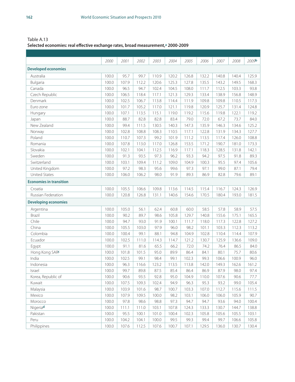Table A.13 **Selected economies: real effective exchange rates, broad measurement,a 2000-2009**

|                                | 2000  | 2001  | 2002  | 2003  | 2004  | 2005  | 2006  | 2007  | 2008  | 2009 <b>b</b> |
|--------------------------------|-------|-------|-------|-------|-------|-------|-------|-------|-------|---------------|
| <b>Developed economies</b>     |       |       |       |       |       |       |       |       |       |               |
| Australia                      | 100.0 | 95.7  | 99.7  | 110.9 | 120.2 | 126.8 | 132.2 | 140.8 | 140.4 | 125.9         |
| Bulgaria                       | 100.0 | 107.9 | 112.2 | 120.6 | 125.3 | 127.8 | 135.5 | 143.2 | 149.5 | 168.3         |
| Canada                         | 100.0 | 96.5  | 94.7  | 102.4 | 104.5 | 108.0 | 111.7 | 112.5 | 103.3 | 93.8          |
| Czech Republic                 | 100.0 | 106.5 | 118.4 | 117.1 | 121.3 | 129.3 | 133.4 | 138.9 | 156.8 | 148.9         |
| Denmark                        | 100.0 | 102.5 | 106.7 | 113.8 | 114.4 | 111.9 | 109.8 | 109.8 | 110.5 | 117.3         |
| Euro zone                      | 100.0 | 101.7 | 105.2 | 117.0 | 121.1 | 119.8 | 120.9 | 125.7 | 131.4 | 124.8         |
| Hungary                        | 100.0 | 107.1 | 113.5 | 115.1 | 119.0 | 119.2 | 115.6 | 119.8 | 122.1 | 119.2         |
| Japan                          | 100.0 | 88.7  | 82.8  | 82.8  | 83.4  | 79.0  | 72.0  | 67.2  | 73.7  | 84.0          |
| New Zealand                    | 100.0 | 99.4  | 111.5 | 130.5 | 140.3 | 147.3 | 135.9 | 146.3 | 134.6 | 125.2         |
| Norway                         | 100.0 | 102.8 | 108.8 | 108.3 | 110.5 | 117.1 | 122.8 | 131.9 | 134.3 | 127.7         |
| Poland                         | 100.0 | 110.7 | 107.3 | 99.2  | 101.9 | 111.2 | 113.5 | 117.4 | 126.0 | 108.8         |
| Romania                        | 100.0 | 107.8 | 113.0 | 117.0 | 126.8 | 153.5 | 171.2 | 190.7 | 181.0 | 173.3         |
| Slovakia                       | 100.0 | 102.1 | 104.1 | 112.5 | 116.9 | 117.1 | 118.3 | 128.5 | 131.8 | 142.1         |
| Sweden                         | 100.0 | 91.3  | 93.5  | 97.3  | 96.2  | 93.3  | 94.2  | 97.5  | 91.8  | 89.3          |
| Switzerland                    | 100.0 | 103.1 | 109.4 | 111.2 | 109.0 | 104.9 | 100.3 | 95.5  | 97.4  | 105.6         |
| United Kingdom                 | 100.0 | 97.2  | 98.3  | 95.6  | 99.6  | 97.3  | 97.1  | 99.0  | 87.1  | 79.4          |
| <b>United States</b>           | 100.0 | 106.0 | 106.2 | 98.0  | 91.9  | 89.3  | 86.9  | 82.8  | 79.6  | 89.1          |
| <b>Economies in transition</b> |       |       |       |       |       |       |       |       |       |               |
| Croatia                        | 100.0 | 105.5 | 106.6 | 109.8 | 113.6 | 114.5 | 115.4 | 116.7 | 124.3 | 126.9         |
| Russian Federation             | 100.0 | 120.8 | 126.8 | 131.1 | 140.6 | 154.6 | 170.5 | 180.4 | 193.0 | 181.5         |
| <b>Developing economies</b>    |       |       |       |       |       |       |       |       |       |               |
| Argentina                      | 100.0 | 105.0 | 56.1  | 62.4  | 60.8  | 60.0  | 58.5  | 57.8  | 58.9  | 57.5          |
| Brazil                         | 100.0 | 90.2  | 89.7  | 98.6  | 105.8 | 129.7 | 140.8 | 155.6 | 175.1 | 165.5         |
| Chile                          | 100.0 | 94.7  | 93.0  | 91.9  | 100.1 | 111.7 | 118.0 | 117.3 | 122.8 | 127.2         |
| China                          | 100.0 | 105.5 | 103.0 | 97.9  | 96.0  | 98.2  | 101.1 | 103.3 | 112.3 | 113.2         |
| Colombia                       | 100.0 | 100.4 | 99.1  | 88.1  | 94.8  | 104.9 | 102.8 | 110.4 | 114.4 | 107.9         |
| Ecuador                        | 100.0 | 102.5 | 111.0 | 114.3 | 114.7 | 121.2 | 130.7 | 125.9 | 136.6 | 109.0         |
| Egypt                          | 100.0 | 91.1  | 81.6  | 65.5  | 66.2  | 72.0  | 74.2  | 76.4  | 86.5  | 84.0          |
| Hong Kong SAR                  | 100.0 | 101.8 | 101.5 | 95.0  | 89.9  | 86.4  | 84.1  | 80.1  | 75.7  | 80.6          |
| India                          | 100.0 | 102.5 | 99.1  | 98.4  | 99.1  | 102.3 | 99.3  | 106.6 | 100.9 | 96.0          |
| Indonesia                      | 100.0 | 96.3  | 116.6 | 123.2 | 113.5 | 113.8 | 142.0 | 149.3 | 162.6 | 161.2         |
| Israel                         | 100.0 | 99.7  | 89.8  | 87.5  | 85.4  | 86.4  | 86.9  | 87.9  | 98.0  | 97.4          |
| Korea, Republic of             | 100.0 | 90.6  | 93.5  | 92.8  | 95.0  | 104.9 | 110.0 | 107.6 | 90.6  | 77.7          |
| Kuwait                         | 100.0 | 107.5 | 109.3 | 102.4 | 94.9  | 96.3  | 95.3  | 93.2  | 99.0  | 105.4         |
| Malaysia                       | 100.0 | 103.9 | 101.6 | 98.7  | 100.7 | 103.3 | 107.0 | 112.7 | 115.6 | 111.5         |
| Mexico                         | 100.0 | 107.9 | 109.5 | 100.0 | 98.2  | 103.1 | 106.0 | 106.0 | 105.9 | 90.7          |
| Morocco                        | 100.0 | 97.8  | 98.6  | 98.8  | 97.3  | 94.7  | 94.7  | 93.6  | 94.0  | 100.4         |
| Nigeriad                       | 100.0 | 111.1 | 111.0 | 103.1 | 107.8 | 124.3 | 133.3 | 130.7 | 144.7 | 138.8         |
| Pakistan                       | 100.0 | 95.5  | 100.1 | 101.0 | 100.4 | 102.3 | 105.8 | 105.6 | 105.5 | 103.1         |
| Peru                           | 100.0 | 104.2 | 104.1 | 100.0 | 99.5  | 99.3  | 99.4  | 99.7  | 106.6 | 105.8         |
| Philippines                    | 100.0 | 107.6 | 112.5 | 107.6 | 100.7 | 107.1 | 129.5 | 136.0 | 130.7 | 130.4         |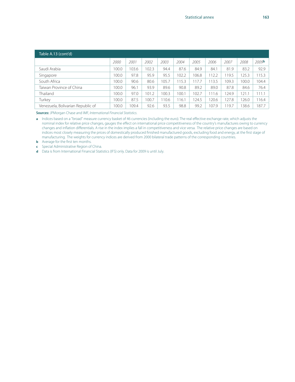| Table A.13 (cont'd)               |       |      |       |       |       |       |       |       |       |                   |  |  |
|-----------------------------------|-------|------|-------|-------|-------|-------|-------|-------|-------|-------------------|--|--|
|                                   | 2000  | 2001 | 2002  | 2003  | 2004  | 2005  | 2006  | 2007  | 2008  | 2009 <sup>b</sup> |  |  |
| Saudi Arabia                      | 100.0 | 03.6 | 02.3  | 94.4  | 87.6  | 84.9  | 84.1  | 81.9  | 83.2  | 92.9              |  |  |
| Singapore                         | 100.0 | 97.8 | 95.9  | 95.5  | 102.2 | 106.8 | 112.2 | 119.5 | 125.3 | 115.3             |  |  |
| South Africa                      | 100.0 | 90.6 | 80.6  | 105.7 | 15.3  | 117.7 | 113.5 | 109.3 | 100.0 | 104.4             |  |  |
| Taiwan Province of China          | 100.0 | 96.1 | 93.9  | 89.6  | 90.8  | 89.2  | 89.0  | 87.8  | 84.6  | 76.4              |  |  |
| Thailand                          | 100.0 | 97.0 | 101.2 | 100.3 | 100.1 | 102.7 | 111.6 | 124.9 | 121   | 111.1             |  |  |
| Turkey                            | 100.0 | 87.5 | 100.7 | 10.6  | 16.1  | 124.5 | 120.6 | 127.8 | 126.0 | 116.4             |  |  |
| Venezuela, Bolivarian Republic of | 100.0 | 09.4 | 92.6  | 93.5  | 98.8  | 99.2  | 107.9 | 119.7 | 38.6  | 187.7             |  |  |

**Sources:** JPMorgan Chase and IMF, *International Financial Statistics*.

**a** Indices based on a "broad" measure currency basket of 46 currencies (including the euro). The real effective exchange rate, which adjusts the nominal index for relative price changes, gauges the effect on international price competitiveness of the country's manufactures owing to currency changes and inflation differentials. A rise in the index implies a fall in competitiveness and vice versa. The relative price changes are based on indices most closely measuring the prices of domestically produced finished manufactured goods, excluding food and energy, at the first stage of manufacturing. The weights for currency indices are derived from 2000 bilateral trade patterns of the corresponding countries.

**b** Average for the first ten months.

**c** Special Administrative Region of China.

**d** Data is from International Financial Statistics (IFS) only. Data for 2009 is until July.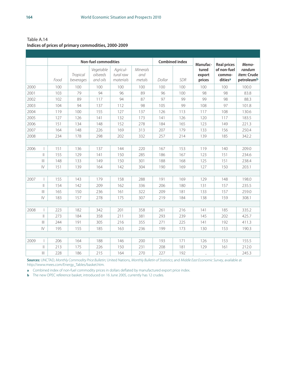Table A.14 **Indices of prices of primary commodities, 2000-2009**

|      |                                      |      |                       | <b>Non-fuel commodities</b>       |                                    |                                  |        | <b>Combined index</b> | Manufac-                  | <b>Real prices</b>               | Memo-                                      |
|------|--------------------------------------|------|-----------------------|-----------------------------------|------------------------------------|----------------------------------|--------|-----------------------|---------------------------|----------------------------------|--------------------------------------------|
|      |                                      | Food | Tropical<br>beverages | Vegetable<br>oilseeds<br>and oils | Agricul-<br>tural raw<br>materials | <b>Minerals</b><br>and<br>metals | Dollar | <b>SDR</b>            | tured<br>export<br>prices | of non-fuel<br>commo-<br>ditiesa | randum<br><i>item:</i> Crude<br>petroleumb |
| 2000 |                                      | 100  | 100                   | 100                               | 100                                | 100                              | 100    | 100                   | 100                       | 100                              | 100.0                                      |
| 2001 |                                      | 103  | 79                    | 94                                | 96                                 | 89                               | 96     | 100                   | 98                        | 98                               | 83.8                                       |
| 2002 |                                      | 102  | 89                    | 117                               | 94                                 | 87                               | 97     | 99                    | 99                        | 98                               | 88.3                                       |
| 2003 |                                      | 104  | 94                    | 137                               | 112                                | 98                               | 105    | 99                    | 108                       | 97                               | 101.8                                      |
| 2004 |                                      | 119  | 100                   | 155                               | 127                                | 137                              | 126    | 113                   | 117                       | 108                              | 130.6                                      |
| 2005 |                                      | 127  | 126                   | 141                               | 132                                | 173                              | 141    | 126                   | 120                       | 117                              | 183.5                                      |
| 2006 |                                      | 151  | 134                   | 148                               | 152                                | 278                              | 184    | 165                   | 123                       | 149                              | 221.3                                      |
| 2007 |                                      | 164  | 148                   | 226                               | 169                                | 313                              | 207    | 179                   | 133                       | 156                              | 250.4                                      |
| 2008 |                                      | 234  | 178                   | 298                               | 202                                | 332                              | 257    | 214                   | 139                       | 185                              | 342.2                                      |
|      |                                      |      |                       |                                   |                                    |                                  |        |                       |                           |                                  |                                            |
| 2006 |                                      | 151  | 136                   | 137                               | 144                                | 220                              | 167    | 153                   | 119                       | 140                              | 209.0                                      |
|      | $\parallel$                          | 155  | 129                   | 141                               | 150                                | 285                              | 186    | 167                   | 123                       | 151                              | 234.6                                      |
|      |                                      | 148  | 133                   | 149                               | 150                                | 301                              | 188    | 168                   | 125                       | 151                              | 238.4                                      |
|      | $\mathsf{I}\mathsf{V}$               | 151  | 139                   | 164                               | 142                                | 304                              | 190    | 169                   | 127                       | 150                              | 203.1                                      |
|      |                                      |      |                       |                                   |                                    |                                  |        |                       |                           |                                  |                                            |
| 2007 |                                      | 155  | 143                   | 179                               | 158                                | 288                              | 191    | 169                   | 129                       | 148                              | 198.0                                      |
|      | $\parallel$                          | 154  | 142                   | 209                               | 162                                | 336                              | 206    | 180                   | 131                       | 157                              | 235.5                                      |
|      |                                      | 165  | 150                   | 236                               | 161                                | 322                              | 209    | 181                   | 133                       | 157                              | 259.0                                      |
|      | $\mathsf{I}\mathsf{V}$               | 183  | 157                   | 278                               | 175                                | 307                              | 219    | 184                   | 138                       | 159                              | 308.1                                      |
|      |                                      |      |                       |                                   |                                    |                                  |        |                       |                           |                                  |                                            |
| 2008 |                                      | 223  | 182                   | 342                               | 201                                | 358                              | 261    | 216                   | 141                       | 185                              | 335.2                                      |
|      | $\parallel$                          | 273  | 184                   | 358                               | 211                                | 381                              | 293    | 239                   | 145                       | 202                              | 425.7                                      |
|      | $\left\vert \right\vert \right\vert$ | 244  | 191                   | 305                               | 216                                | 355                              | 271    | 225                   | 141                       | 192                              | 411.3                                      |
|      | $\mathsf{I}\mathsf{V}$               | 195  | 155                   | 185                               | 163                                | 236                              | 199    | 173                   | 130                       | 153                              | 190.3                                      |
|      |                                      |      |                       |                                   |                                    |                                  |        |                       |                           |                                  |                                            |
| 2009 |                                      | 206  | 164                   | 188                               | 146                                | 200                              | 193    | 171                   | 126                       | 153                              | 155.5                                      |
|      | $\mathbb{I}$                         | 213  | 175                   | 226                               | 150                                | 231                              | 208    | 181                   | 129                       | 161                              | 212.0                                      |
|      | $\  \cdot \ $                        | 228  | 186                   | 215                               | 164                                | 270                              | 227    | 192                   | $\ddot{\phantom{a}}$      | $\ddot{\phantom{0}}$             | 245.3                                      |

**Sources:** UNCTAD, *Monthly Commodity Price Bulletin*; United Nations, *Monthly Bulletin of Statistics*; and *Middle East Economic Survey*, available at http://www.mees.com/Energy\_Tables/basket.htm.

**a** Combined index of non-fuel commodity prices in dollars deflated by manufactured export price index.

**b** The new OPEC reference basket, introduced on 16 June 2005, currently has 12 crudes.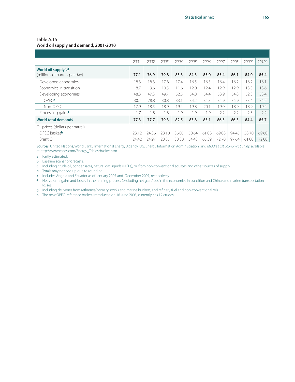#### **World oil supply and demand, 2001-2010**

|                                                      | 2001  | 2002  | 2003  | 2004  | 2005  | 2006  | 2007  | 2008  | 2009a | 2010 <sub>b</sub> |
|------------------------------------------------------|-------|-------|-------|-------|-------|-------|-------|-------|-------|-------------------|
| World oil supplyc,d<br>(millions of barrels per day) | 77.1  | 76.9  | 79.8  | 83.3  | 84.3  | 85.0  | 85.4  | 86.1  | 84.0  | 85.4              |
| Developed economies                                  | 18.3  | 18.3  | 17.8  | 17.4  | 16.5  | 16.3  | 16.4  | 16.2  | 16.2  | 16.1              |
| Economies in transition                              | 8.7   | 9.6   | 10.5  | 11.6  | 12.0  | 12.4  | 12.9  | 12.9  | 13.3  | 13.6              |
| Developing economies                                 | 48.3  | 47.3  | 49.7  | 52.5  | 54.0  | 54.4  | 53.9  | 54.8  | 52.3  | 53.4              |
| OPFCe                                                | 30.4  | 28.8  | 30.8  | 33.1  | 34.2  | 34.3  | 34.9  | 35.9  | 33.4  | 34.2              |
| Non-OPEC                                             | 17.9  | 18.5  | 18.9  | 19.4  | 19.8  | 20.1  | 19.0  | 18.9  | 18.9  | 19.2              |
| Processing gainsf                                    | 1.7   | 1.8   | 1.8   | 1.9   | 1.9   | 1.9   | 2.2   | 2.2   | 2.3   | 2.2               |
| World total demand <sup>9</sup>                      | 77.3  | 77.7  | 79.3  | 82.5  | 83.8  | 85.1  | 86.5  | 86.3  | 84.4  | 85.7              |
| Oil prices (dollars per barrel)                      |       |       |       |       |       |       |       |       |       |                   |
| OPEC Basketh                                         | 23.12 | 24.36 | 28.10 | 36.05 | 50.64 | 61.08 | 69.08 | 94.45 | 58.70 | 69.60             |
| <b>Brent Oil</b>                                     | 24.42 | 24.97 | 28.85 | 38.30 | 54.43 | 65.39 | 72.70 | 97.64 | 61.00 | 72.00             |

**Sources**: United Nations, World Bank, International Energy Agency, U.S. Energy Information Administration, and *Middle East Economic Survey*, available at http://www.mees.com/Energy\_Tables/basket.htm.

- **a** Partly estimated.
- **b** Baseline scenario forecasts.
- **c** Including crude oil, condensates, natural gas liquids (NGLs), oil from non-conventional sources and other sources of supply.
- **d** Totals may not add up due to rounding.
- **e** Includes Angola and Ecuador as of January 2007 and December 2007, respectively.
- **f** Net volume gains and losses in the refining process (excluding net gain/loss in the economies in transition and China) and marine transportation losses.
- **g** Including deliveries from refineries/primary stocks and marine bunkers, and refinery fuel and non-conventional oils.
- **h** The new OPEC reference basket, introduced on 16 June 2005, currently has 12 crudes.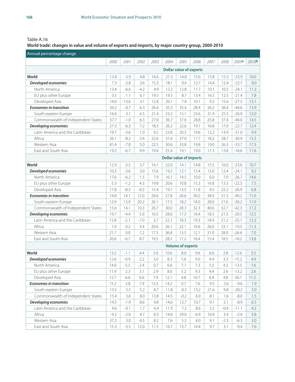#### **World trade: changes in value and volume of exports and imports, by major country group, 2000-2010**

| Annual percentage change           |        |         |        |      |                                |                                |        |      |        |         |                   |
|------------------------------------|--------|---------|--------|------|--------------------------------|--------------------------------|--------|------|--------|---------|-------------------|
|                                    | 2000   | 2001    | 2002   | 2003 | 2004                           | 2005                           | 2006   | 2007 | 2008   | 2009a   | 2010 <sub>b</sub> |
|                                    |        |         |        |      |                                | <b>Dollar value of exports</b> |        |      |        |         |                   |
| World                              | 13.4   | $-3.9$  | 4.8    | 16.6 | 21.3                           | 14.8                           | 15.6   | 15.8 | 15.3   | $-23.9$ | 10.6              |
| Developed economies                | 7.3    | $-2.8$  | 3.6    | 15.3 | 18.1                           | 9.4                            | 12.7   | 14.4 | 12.4   | $-22.7$ | 9.0               |
| North America                      | 13.4   | $-6.6$  | $-4.2$ | 4.9  | 12.2                           | 12.8                           | 11.7   | 10.1 | 10.5   | $-24.1$ | 11.3              |
| EU plus other Europe               | 3.5    | 1.1     | 6.7    | 19.5 | 19.5                           | 8.7                            | 13.4   | 16.5 | 12.5   | $-21.4$ | 7.8               |
| Developed Asia                     | 14.0   | $-13.6$ | 3.1    | 12.8 | 20.1                           | 7.4                            | 10.1   | 9.2  | 15.6   | $-27.5$ | 13.1              |
| <b>Economies in transition</b>     | 34.2   | $-0.7$  | 6.3    | 26.4 | 35.3                           | 35.4                           | 28.4   | 26.2 | 36.4   | $-44.6$ | 13.9              |
| South-eastern Europe               | 16.6   | 3.1     | 6.5    | 21.4 | 23.2                           | 15.1                           | 23.6   | 31.9 | 25.5   | $-26.9$ | 12.0              |
| Commonwealth of Independent States | 37.7   | $-1.0$  | 6.3    | 27.0 | 36.7                           | 37.6                           | 28.8   | 25.8 | 37.4   | $-46.0$ | 14.5              |
| Developing economies               | 27.3   | $-6.3$  | 7.2    | 18.3 | 26.2                           | 22.6                           | 19.1   | 16.8 | 17.0   | $-22.7$ | 12.4              |
| Latin America and the Caribbean    | 19.7   | $-3.6$  | 1.0    | 9.2  | 23.8                           | 20.5                           | 19.6   | 12.2 | 14.9   | $-31.0$ | 9.9               |
| Africa                             | 26.1   | $-8.2$  | 3.4    | 22.6 | 31.6                           | 37.0                           | 17.7   | 18.2 | 28.7   | $-30.9$ | 15.3              |
| Western Asia                       | 81.4   | $-7.0$  | 5.0    | 22.5 | 30.6                           | 33.8                           | 19.8   | 19.0 | 26.3   | $-33.7$ | 17.3              |
| East and South Asia                | 19.2   | $-6.7$  | 9.9    | 19.4 | 25.4                           | 19.1                           | 19.0   | 17.3 | 13.8   | $-16.6$ | 11.6              |
|                                    |        |         |        |      | <b>Dollar value of imports</b> |                                |        |      |        |         |                   |
| World                              | 12.9   | $-3.5$  | 3.7    | 16.1 | 22.0                           | 14.1                           | 14.8   | 15.5 | 16.0   | $-23.6$ | 10.7              |
| Developed economies                | 10.3   | $-3.6$  | 3.0    | 15.6 | 19.2                           | 12.1                           | 13.4   | 13.0 | 12.4   | $-24.1$ | 9.2               |
| North America                      | 17.6   | $-6.2$  | 1.5    | 7.9  | 16.1                           | 14.5                           | 10.0   | 6.0  | 7.0    | $-26.7$ | 14.6              |
| EU plus other Europe               | 5.3    | $-1.2$  | 4.3    | 19.8 | 20.6                           | 10.8                           | 15.3   | 16.8 | 13.3   | $-22.5$ | 7.5               |
| Developed Asia                     | 17.8   | $-8.3$  | $-0.3$ | 15.4 | 19.7                           | 13.5                           | 11.8   | 9.5  | 22.2   | $-26.9$ | 6.8               |
| <b>Economies in transition</b>     | 14.8   | 14.1    | 12.0   | 26.6 | 27.8                           | 26.6                           | 30.2   | 38.9 | 31.3   | $-40.2$ | 11.0              |
| South-eastern Europe               | 12.9   | 13.9    | 20.2   | 26.1 | 17.5                           | 18.2                           | 18.0   | 28.0 | 21.6   | $-30.2$ | 11.0              |
| Commonwealth of Independent States | 15.6   | 14.1    | 10.3   | 26.7 | 30.0                           | 28.3                           | 32.3   | 40.6 | 32.7   | $-42.3$ | 11.2              |
| Developing economies               | 19.7   | $-4.4$  | 5.0    | 16.5 | 28.0                           | 17.3                           | 16.4   | 18.5 | 21.3   | $-20.5$ | 12.5              |
| Latin America and the Caribbean    | 15.8   | $-2.1$  | $-7.0$ | 3.7  | 22.1                           | 18.3                           | 19.3   | 18.9 | 21.2   | $-25.1$ | 12.2              |
| Africa                             | 1.0    | 0.2     | 3.4    | 20.6 | 26.1                           | 22.1                           | 16.6   | 26.0 | 33.1   | $-19.5$ | 11.3              |
| Western Asia                       | 21.7   | 0.0     | 7.2    | 17.3 | 36.8                           | 13.5                           | 12.1   | 31.0 | 28.0   | $-26.6$ | 7.0               |
| East and South Asia                | 20.6   | $-6.7$  | 8.7    | 19.5 | 28.2                           | 17.2                           | 16.4   | 15.4 | 18.5   | $-18.2$ | 13.8              |
|                                    |        |         |        |      |                                | <b>Volume of exports</b>       |        |      |        |         |                   |
| World                              | 13.2   | $-1.1$  | 4.4    | 5.6  | 10.6                           | 8.0                            | 9.6    | 6.6  | 2.8    | $-12.6$ | 5.5               |
| Developed economies                | 12.6   | $-0.9$  | 2.2    | 3.0  | 8.3                            | 5.6                            | 9.0    | 4.9  | 3.3    | $-15.2$ | 4.9               |
| North America                      | 14.0   | $-5.5$  | $-2.4$ | 0.7  | 6.6                            | 7.1                            | 7.3    | 5.5  | 4.3    | $-13.5$ | 7.6               |
| EU plus other Europe               | 11.9   | 2.3     | 3.1    | 2.9  | 8.0                            | 5.2                            | 9.3    | 4.4  | 2.6    | $-13.2$ | 2.6               |
| Developed Asia                     | 12.7   | $-6.6$  | 6.6    | 7.9  | 12.1                           | 4.8                            | 10.7   | 6.4  | 4.8    | $-26.1$ | 11.5              |
| <b>Economies in transition</b>     | 15.2   | 3.8     | 7.9    | 13.3 | 14.2                           | 0.7                            | 7.6    | 9.5  | 2.6    | $-9.6$  | 1.9               |
| South-eastern Europe               | 13.5   | 5.5     | 5.2    | 8.7  | 11.8                           | 8.3                            | 13.2   | 21.6 | 9.8    | $-20.2$ | 5.0               |
| Commonwealth of Independent States | 15.4   | 3.6     | 8.0    | 13.8 | 14.5                           | $-0.2$                         | 6.9    | 8.1  | 1.6    | $-8.0$  | 1.5               |
| Developing economies               | 14.5   | $-1.9$  | 8.6    | 9.8  | 14.6                           | 12.7                           | 10.7   | 9.1  | 2.1    | $-8.9$  | 6.5               |
| Latin America and the Caribbean    | 4.6    | $-0.1$  | 1.7    | 4.9  | 11.9                           | 7.2                            | 8.6    | 5.2  | $-0.4$ | $-11.1$ | 4.2               |
| Africa                             | $-9.2$ | $-2.0$  | 4.7    | 8.3  | 14.6                           | 29.0                           | $-6.9$ | 10.9 | 3.4    | $-2.4$  | 5.8               |
| Western Asia                       | 37.2   | 3.0     | 4.5    | 8.2  | 7.6                            | 5.2                            | 4.0    | 9.1  | $-2.3$ | $-6.3$  | 3.0               |
| East and South Asia                | 15.3   | $-3.5$  | 12.0   | 11.5 | 16.7                           | 13.7                           | 14.4   | 9.7  | 3.1    | $-9.4$  | 7.6               |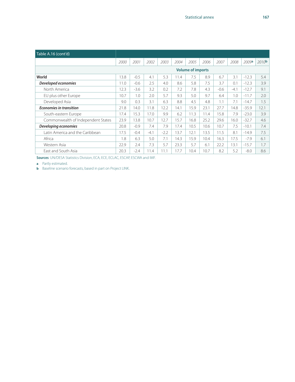| Table A.16 (cont'd)                |      |        |        |        |      |                          |      |        |        |         |                   |
|------------------------------------|------|--------|--------|--------|------|--------------------------|------|--------|--------|---------|-------------------|
|                                    | 2000 | 2001   | 2002   | 2003   | 2004 | 2005                     | 2006 | 2007   | 2008   | 2009a   | 2010 <sup>b</sup> |
|                                    |      |        |        |        |      | <b>Volume of imports</b> |      |        |        |         |                   |
| World                              | 13.8 | $-0.5$ | 4.1    | 5.3    | 11.4 | 7.5                      | 8.9  | 6.7    | 3.1    | $-12.3$ | 5.4               |
| Developed economies                | 11.0 | $-0.6$ | 2.5    | 4.0    | 8.6  | 5.8                      | 7.5  | 3.7    | 0.1    | $-12.3$ | 3.9               |
| North America                      | 12.3 | $-3.6$ | 3.2    | 0.2    | 7.2  | 7.8                      | 4.3  | $-0.6$ | $-4.1$ | $-12.7$ | 9.1               |
| EU plus other Europe               | 10.7 | 1.0    | 2.0    | 5.7    | 9.3  | 5.0                      | 9.7  | 6.4    | 1.0    | $-11.7$ | 2.0               |
| Developed Asia                     | 9.0  | 0.3    | 3.1    | 6.3    | 8.8  | 4.5                      | 4.8  | 1.1    | 7.1    | $-14.7$ | 1.5               |
| <b>Economies in transition</b>     | 21.8 | 14.0   | 11.8   | 12.2   | 14.1 | 15.9                     | 23.1 | 27.7   | 14.8   | $-35.9$ | 12.1              |
| South-eastern Europe               | 17.4 | 15.3   | 17.0   | 9.9    | 6.2  | 11.3                     | 11.4 | 15.8   | 7.9    | $-23.0$ | 3.9               |
| Commonwealth of Independent States | 23.9 | 13.8   | 10.7   | 12.7   | 15.7 | 16.8                     | 25.2 | 29.6   | 16.0   | $-32.7$ | 4.6               |
| Developing economies               | 20.8 | $-0.9$ | 7.4    | 7.9    | 17.4 | 10.5                     | 10.6 | 10.7   | 7.5    | $-10.1$ | 7.4               |
| Latin America and the Caribbean    | 17.5 | $-0.4$ | $-4.1$ | $-2.2$ | 13.7 | 12.1                     | 13.5 | 11.5   | 8.1    | $-14.9$ | 7.5               |
| Africa                             | 1.8  | 6.3    | 5.0    | 7.1    | 14.3 | 15.9                     | 10.4 | 16.3   | 17.5   | $-7.9$  | 6.1               |
| Western Asia                       | 22.9 | 2.4    | 7.3    | 5.7    | 23.3 | 5.7                      | 6.1  | 22.2   | 13.1   | $-15.7$ | 1.7               |
| East and South Asia                | 20.3 | $-2.4$ | 11.4   | 11.1   | 17.7 | 10.4                     | 10.7 | 8.2    | 5.2    | $-8.0$  | 8.6               |

**Sources**: UN/DESA Statistics Division, ECA, ECE, ECLAC, ESCAP, ESCWA and IMF.

**a** Partly estimated.

**b** Baseline scenario forecasts, based in part on Project LINK.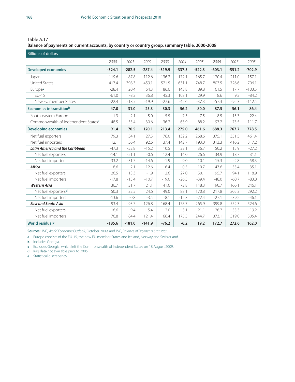Table A.17

#### **Balance of payments on current accounts, by country or country group, summary table, 2000-2008**

| <b>Billions of dollars</b>             |          |          |          |          |          |          |          |          |          |
|----------------------------------------|----------|----------|----------|----------|----------|----------|----------|----------|----------|
|                                        | 2000     | 2001     | 2002     | 2003     | 2004     | 2005     | 2006     | 2007     | 2008     |
| <b>Developed economies</b>             | $-324.1$ | $-282.5$ | $-287.4$ | $-319.9$ | $-337.5$ | $-522.3$ | $-603.1$ | $-551.2$ | $-702.9$ |
| Japan                                  | 119.6    | 87.8     | 112.6    | 136.2    | 172.1    | 165.7    | 170.4    | 211.0    | 157.1    |
| <b>United States</b>                   | $-417.4$ | $-398.3$ | $-459.1$ | $-521.5$ | $-631.1$ | $-748.7$ | $-803.5$ | $-726.6$ | $-706.1$ |
| Europea                                | $-28.4$  | 20.4     | 64.3     | 86.6     | 143.8    | 89.8     | 61.5     | 17.7     | $-103.5$ |
| $FLJ-15$                               | $-61.0$  | $-8.2$   | 36.8     | 45.3     | 108.1    | 29.9     | 8.6      | 9.2      | $-84.2$  |
| New EU member States                   | $-22.4$  | $-18.5$  | $-19.9$  | $-27.6$  | $-42.6$  | $-37.3$  | $-57.3$  | $-92.3$  | $-112.5$ |
| <b>Economies in transitionb</b>        | 47.0     | 31.0     | 25.3     | 30.3     | 56.2     | 80.0     | 87.5     | 56.1     | 86.4     |
| South-eastern Europe                   | $-1.3$   | $-2.1$   | $-5.0$   | $-5.5$   | $-7.3$   | $-7.5$   | $-8.5$   | $-15.3$  | $-22.4$  |
| Commonwealth of Independent Statesc    | 48.5     | 33.4     | 30.6     | 36.2     | 63.9     | 88.2     | 97.2     | 73.5     | 111.7    |
| <b>Developing economies</b>            | 91.4     | 70.5     | 120.1    | 213.4    | 275.0    | 461.6    | 688.3    | 767.7    | 778.5    |
| Net fuel exporters                     | 79.3     | 34.1     | 27.5     | 76.0     | 132.2    | 268.6    | 375.1    | 351.5    | 461.4    |
| Net fuel importers                     | 12.1     | 36.4     | 92.6     | 137.4    | 142.7    | 193.0    | 313.3    | 416.2    | 317.2    |
| <b>Latin America and the Caribbean</b> | $-47.3$  | $-52.8$  | $-15.2$  | 10.5     | 23.1     | 36.7     | 50.2     | 15.9     | $-27.2$  |
| Net fuel exporters                     | $-14.1$  | $-21.1$  | $-0.6$   | 12.4     | 14.0     | 26.6     | 34.9     | 18.7     | 31.1     |
| Net fuel importer                      | $-33.2$  | $-31.7$  | $-14.6$  | $-1.9$   | 9.0      | 10.1     | 15.3     | $-2.8$   | $-58.3$  |
| Africa                                 | 8.6      | $-2.1$   | $-12.6$  | $-6.4$   | 0.5      | 10.7     | 47.6     | 33.4     | 35.1     |
| Net fuel exporters                     | 26.5     | 13.3     | $-1.9$   | 12.6     | 27.0     | 50.1     | 95.7     | 94.1     | 118.9    |
| Net fuel importers                     | $-17.8$  | $-15.4$  | $-10.7$  | $-19.0$  | $-26.5$  | $-39.4$  | $-48.0$  | $-60.7$  | $-83.8$  |
| <b>Western Asia</b>                    | 36.7     | 31.7     | 21.1     | 41.0     | 72.8     | 148.3    | 190.7    | 166.1    | 246.1    |
| Net fuel exportersd                    | 50.3     | 32.5     | 24.6     | 49.0     | 88.1     | 170.8    | 217.8    | 205.3    | 292.2    |
| Net fuel importers                     | $-13.6$  | $-0.8$   | $-3.5$   | $-8.1$   | $-15.3$  | $-22.4$  | $-27.1$  | $-39.2$  | $-46.1$  |
| <b>East and South Asia</b>             | 93.4     | 93.7     | 126.8    | 168.4    | 178.7    | 265.9    | 399.8    | 552.3    | 524.6    |
| Net fuel exporters                     | 16.6     | 9.4      | 5.4      | 2.0      | 3.1      | 21.1     | 26.7     | 33.3     | 19.2     |
| Net fuel importers                     | 76.8     | 84.4     | 121.4    | 166.4    | 175.5    | 244.7    | 373.1    | 519.0    | 505.4    |
| World residuale                        | $-185.6$ | $-181.0$ | $-141.9$ | $-76.2$  | $-6.2$   | 19.2     | 172.7    | 272.6    | 162.0    |

**Sources:** IMF, *World Economic Outlook*, October 2009; and IMF, *Balance of Payments Statistics*.

**a** Europe consists of the EU-15, the new EU member States and Iceland, Norway and Switzerland.

**b** Includes Georgia.

**c** Excludes Georgia, which left the Commonwealth of Independent States on 18 August 2009.

**d** Iraq data not available prior to 2005.

**e** Statistical discrepancy.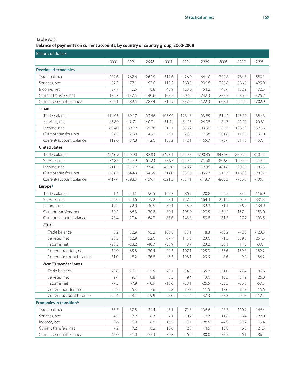#### Table A.18 **Balance of payments on current accounts, by country or country group, 2000-2008**

| <b>Billions of dollars</b>      |           |           |           |           |           |           |           |           |           |  |  |
|---------------------------------|-----------|-----------|-----------|-----------|-----------|-----------|-----------|-----------|-----------|--|--|
|                                 | 2000      | 2001      | 2002      | 2003      | 2004      | 2005      | 2006      | 2007      | 2008      |  |  |
| <b>Developed economies</b>      |           |           |           |           |           |           |           |           |           |  |  |
| Trade balance                   | $-297.6$  | $-262.6$  | $-262.5$  | $-312.6$  | $-426.0$  | $-641.0$  | $-790.8$  | $-784.3$  | $-880.1$  |  |  |
| Services, net                   | 82.5      | 77.1      | 97.0      | 115.3     | 168.3     | 206.8     | 278.8     | 386.8     | 429.9     |  |  |
| Income, net                     | 27.7      | 40.5      | 18.8      | 45.9      | 123.0     | 154.2     | 146.4     | 132.9     | 72.5      |  |  |
| Current transfers, net          | $-136.7$  | $-137.5$  | $-140.6$  | $-168.5$  | $-202.7$  | $-242.3$  | $-237.5$  | $-286.7$  | $-325.2$  |  |  |
| Current-account balance         | $-324.1$  | $-282.5$  | $-287.4$  | $-319.9$  | $-337.5$  | $-522.3$  | $-603.1$  | $-551.2$  | $-702.9$  |  |  |
| Japan                           |           |           |           |           |           |           |           |           |           |  |  |
| Trade balance                   | 114.93    | 69.17     | 92.46     | 103.99    | 128.46    | 93.85     | 81.12     | 105.09    | 38.43     |  |  |
| Services, net                   | $-45.89$  | $-42.71$  | $-40.71$  | $-31.44$  | $-34.25$  | $-24.08$  | $-18.17$  | $-21.20$  | $-20.81$  |  |  |
| Income, net                     | 60.40     | 69.22     | 65.78     | 71.21     | 85.72     | 103.50    | 118.17    | 138.63    | 152.56    |  |  |
| Current transfers, net          | $-9.83$   | $-7.88$   | $-4.92$   | $-7.51$   | $-7.85$   | $-7.58$   | $-10.68$  | $-11.55$  | $-13.10$  |  |  |
| Current-account balance         | 119.6     | 87.8      | 112.6     | 136.2     | 172.1     | 165.7     | 170.4     | 211.0     | 157.1     |  |  |
| <b>United States</b>            |           |           |           |           |           |           |           |           |           |  |  |
| Trade balance                   | $-454.69$ | $-429.90$ | $-482.83$ | $-549.01$ | $-671.83$ | $-790.85$ | $-847.26$ | $-830.99$ | $-840.25$ |  |  |
| Services, net                   | 74.85     | 64.39     | 61.23     | 53.97     | 61.84     | 75.58     | 86.90     | 129.57    | 144.32    |  |  |
| Income, net                     | 21.05     | 31.72     | 27.41     | 45.30     | 67.22     | 72.36     | 48.08     | 90.85     | 118.23    |  |  |
| Current transfers, net          | $-58.65$  | $-64.48$  | $-64.95$  | $-71.80$  | $-88.36$  | $-105.77$ | $-91.27$  | $-116.00$ | $-128.37$ |  |  |
| Current-account balance         | $-417.4$  | $-398.3$  | $-459.1$  | $-521.5$  | $-631.1$  | $-748.7$  | $-803.5$  | $-726.6$  | $-706.1$  |  |  |
| Europea                         |           |           |           |           |           |           |           |           |           |  |  |
| Trade balance                   | 1.4       | 49.1      | 96.5      | 107.7     | 86.1      | 20.8      | $-56.5$   | $-83.4$   | $-116.9$  |  |  |
| Services, net                   | 56.6      | 59.6      | 79.2      | 98.1      | 147.7     | 164.3     | 221.2     | 295.3     | 331.3     |  |  |
| Income, net                     | $-17.2$   | $-22.0$   | $-40.5$   | $-30.1$   | 15.9      | 32.2      | 31.1      | $-36.7$   | $-134.9$  |  |  |
| Current transfers, net          | $-69.2$   | $-66.3$   | $-70.8$   | $-89.1$   | $-105.9$  | $-127.5$  | $-134.4$  | $-157.4$  | $-183.0$  |  |  |
| Current-account balance         | $-28.4$   | 20.4      | 64.3      | 86.6      | 143.8     | 89.8      | 61.5      | 17.7      | $-103.5$  |  |  |
| $EU-15$                         |           |           |           |           |           |           |           |           |           |  |  |
| Trade balance                   | 8.2       | 52.9      | 95.2      | 106.8     | 83.1      | 8.3       | $-63.2$   | $-72.0$   | $-123.5$  |  |  |
| Services, net                   | 28.3      | 32.9      | 52.6      | 67.7      | 113.3     | 123.6     | 171.3     | 229.8     | 251.5     |  |  |
| Income, net                     | $-28.5$   | $-28.2$   | $-40.7$   | $-38.9$   | 18.7      | 23.2      | 36.1      | 11.2      | $-30.1$   |  |  |
| Current transfers, net          | $-69.0$   | $-65.8$   | $-70.4$   | $-90.3$   | $-107.1$  | $-125.3$  | $-135.6$  | $-159.8$  | $-182.2$  |  |  |
| Current-account balance         | $-61.0$   | $-8.2$    | 36.8      | 45.3      | 108.1     | 29.9      | 8.6       | 9.2       | $-84.2$   |  |  |
| <b>New EU member States</b>     |           |           |           |           |           |           |           |           |           |  |  |
| Trade balance                   | $-29.8$   | $-26.7$   | $-25.5$   | $-29.1$   | $-34.3$   | $-35.2$   | $-51.0$   | $-72.4$   | $-86.6$   |  |  |
| Services, net                   | 9.4       | 9.7       | 8.8       | 8.3       | 9.4       | 13.0      | 15.5      | 21.9      | 26.0      |  |  |
| Income, net                     | $-7.3$    | $-7.9$    | $-10.9$   | $-16.6$   | $-28.1$   | $-26.5$   | $-35.3$   | $-56.5$   | $-67.5$   |  |  |
| Current transfers, net          | 5.2       | 6.3       | 7.6       | 9.8       | 10.3      | 11.5      | 13.6      | 14.8      | 15.6      |  |  |
| Current-account balance         | $-22.4$   | $-18.5$   | $-19.9$   | $-27.6$   | $-42.6$   | $-37.3$   | $-57.3$   | $-92.3$   | $-112.5$  |  |  |
| <b>Economies in transitionb</b> |           |           |           |           |           |           |           |           |           |  |  |
| Trade balance                   | 53.7      | 37.8      | 34.4      | 43.1      | 71.3      | 106.6     | 128.5     | 110.2     | 166.4     |  |  |
| Services, net                   | $-4.3$    | $-7.2$    | $-8.3$    | $-7.1$    | $-10.7$   | $-12.7$   | $-11.8$   | $-18.4$   | $-22.0$   |  |  |
| Income, net                     | $-9.6$    | $-6.8$    | $-8.9$    | $-16.3$   | $-17.1$   | $-28.5$   | $-44.9$   | $-52.2$   | $-79.4$   |  |  |
| Current transfers, net          | 7.2       | 7.2       | 8.2       | 10.6      | 12.8      | 14.5      | 15.8      | 16.5      | 21.5      |  |  |
| Current-account balance         | 47.0      | 31.0      | 25.3      | 30.3      | 56.2      | 80.0      | 87.5      | 56.1      | 86.4      |  |  |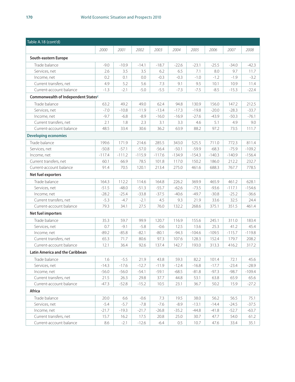| Table A.18 (cont'd)                             |          |          |          |          |          |          |          |          |          |  |  |
|-------------------------------------------------|----------|----------|----------|----------|----------|----------|----------|----------|----------|--|--|
|                                                 | 2000     | 2001     | 2002     | 2003     | 2004     | 2005     | 2006     | 2007     | 2008     |  |  |
| South-eastern Europe                            |          |          |          |          |          |          |          |          |          |  |  |
| Trade balance                                   | $-9.0$   | $-10.9$  | $-14.1$  | $-18.7$  | $-22.6$  | $-23.1$  | $-25.5$  | $-34.0$  | $-42.3$  |  |  |
| Services, net                                   | 2.6      | 3.5      | 3.5      | 6.2      | 6.5      | 7.1      | 8.0      | 9.7      | 11.7     |  |  |
| Income, net                                     | 0.2      | 0.1      | 0.0      | $-0.3$   | $-0.3$   | $-1.0$   | $-1.2$   | $-1.9$   | $-3.2$   |  |  |
| Current transfers, net                          | 4.9      | 5.2      | 5.6      | 7.3      | 9.1      | 9.5      | 10.1     | 10.9     | 11.4     |  |  |
| Current-account balance                         | $-1.3$   | $-2.1$   | $-5.0$   | $-5.5$   | $-7.3$   | $-7.5$   | $-8.5$   | $-15.3$  | $-22.4$  |  |  |
| Commonwealth of Independent States <sup>c</sup> |          |          |          |          |          |          |          |          |          |  |  |
| Trade balance                                   | 63.2     | 49.2     | 49.0     | 62.4     | 94.8     | 130.9    | 156.0    | 147.2    | 212.5    |  |  |
| Services, net                                   | $-7.0$   | $-10.8$  | $-11.9$  | $-13.4$  | $-17.3$  | $-19.8$  | $-20.0$  | $-28.3$  | $-33.7$  |  |  |
| Income, net                                     | $-9.7$   | $-6.8$   | $-8.9$   | $-16.0$  | $-16.9$  | $-27.6$  | $-43.9$  | $-50.3$  | $-76.1$  |  |  |
| Current transfers, net                          | 2.1      | 1.8      | 2.3      | 3.1      | 3.3      | 4.6      | 5.1      | 4.9      | 9.0      |  |  |
| Current-account balance                         | 48.5     | 33.4     | 30.6     | 36.2     | 63.9     | 88.2     | 97.2     | 73.5     | 111.7    |  |  |
| <b>Developing economies</b>                     |          |          |          |          |          |          |          |          |          |  |  |
| Trade balance                                   | 199.6    | 171.9    | 214.6    | 285.5    | 343.0    | 525.5    | 711.0    | 772.3    | 811.4    |  |  |
| Services, net                                   | $-50.8$  | $-57.1$  | $-57.0$  | $-56.4$  | $-50.1$  | $-59.9$  | $-68.3$  | $-75.9$  | $-109.2$ |  |  |
| Income, net                                     | $-117.4$ | $-111.2$ | $-115.9$ | $-117.6$ | $-134.9$ | $-154.3$ | $-140.3$ | $-140.9$ | $-156.4$ |  |  |
| Current transfers, net                          | 60.1     | 66.9     | 78.5     | 101.8    | 117.0    | 150.2    | 186.0    | 212.2    | 232.7    |  |  |
| Current-account balance                         | 91.4     | 70.5     | 120.1    | 213.4    | 275.0    | 461.6    | 688.3    | 767.7    | 778.5    |  |  |
| Net fuel exporters                              |          |          |          |          |          |          |          |          |          |  |  |
| Trade balance                                   | 164.3    | 112.2    | 114.6    | 164.8    | 226.2    | 369.9    | 465.9    | 461.2    | 628.1    |  |  |
| Services, net                                   | $-51.5$  | $-48.0$  | $-51.3$  | $-55.7$  | $-62.6$  | $-73.5$  | $-93.6$  | $-117.1$ | $-154.6$ |  |  |
| Income, net                                     | $-28.2$  | $-25.4$  | $-33.8$  | $-37.5$  | $-40.6$  | $-49.7$  | $-30.8$  | $-25.2$  | $-36.6$  |  |  |
| Current transfers, net                          | $-5.3$   | $-4.7$   | $-2.1$   | 4.5      | 9.3      | 21.9     | 33.6     | 32.5     | 24.4     |  |  |
| Current-account balance                         | 79.3     | 34.1     | 27.5     | 76.0     | 132.2    | 268.6    | 375.1    | 351.5    | 461.4    |  |  |
| Net fuel importers                              |          |          |          |          |          |          |          |          |          |  |  |
| Trade balance                                   | 35.3     | 59.7     | 99.9     | 120.7    | 116.9    | 155.6    | 245.1    | 311.0    | 183.4    |  |  |
| Services, net                                   | 0.7      | $-9.1$   | $-5.8$   | $-0.6$   | 12.5     | 13.6     | 25.3     | 41.2     | 45.4     |  |  |
| Income, net                                     | $-89.2$  | $-85.8$  | $-82.1$  | $-80.1$  | $-94.3$  | $-104.6$ | $-109.5$ | $-115.7$ | $-119.8$ |  |  |
| Current transfers, net                          | 65.3     | 71.7     | 80.6     | 97.3     | 107.6    | 128.3    | 152.4    | 179.7    | 208.2    |  |  |
| Current-account balance                         | 12.1     | 36.4     | 92.6     | 137.4    | 142.7    | 193.0    | 313.3    | 416.2    | 317.2    |  |  |
| Latin America and the Caribbean                 |          |          |          |          |          |          |          |          |          |  |  |
| Trade balance                                   | 1.6      | $-5.5$   | 21.9     | 43.8     | 59.3     | 82.2     | 101.4    | 72.1     | 45.6     |  |  |
| Services, net                                   | $-14.3$  | $-17.6$  | $-12.7$  | $-11.9$  | $-12.4$  | $-16.8$  | $-17.7$  | $-23.4$  | $-28.9$  |  |  |
| Income, net                                     | $-56.0$  | $-56.0$  | $-54.1$  | $-59.1$  | $-68.5$  | $-81.8$  | $-97.3$  | $-98.7$  | $-109.4$ |  |  |
| Current transfers, net                          | 21.5     | 26.3     | 29.8     | 37.7     | 44.8     | 53.1     | 63.8     | 65.9     | 65.6     |  |  |
| Current-account balance                         | $-47.3$  | $-52.8$  | $-15.2$  | 10.5     | 23.1     | 36.7     | 50.2     | 15.9     | $-27.2$  |  |  |
| Africa                                          |          |          |          |          |          |          |          |          |          |  |  |
| Trade balance                                   | 20.0     | 6.6      | $-0.6$   | 7.3      | 19.5     | 38.0     | 56.2     | 56.5     | 75.1     |  |  |
| Services, net                                   | $-5.4$   | $-5.7$   | $-7.8$   | $-7.6$   | $-8.9$   | $-13.1$  | $-14.4$  | $-24.5$  | $-37.5$  |  |  |
| Income, net                                     | $-21.7$  | $-19.3$  | $-21.7$  | $-26.8$  | $-35.2$  | $-44.8$  | $-41.8$  | $-52.7$  | $-63.7$  |  |  |
| Current transfers, net                          | 15.7     | 16.2     | 17.5     | 20.8     | 25.0     | 30.7     | 47.7     | 54.0     | 61.2     |  |  |
| Current-account balance                         | 8.6      | $-2.1$   | $-12.6$  | $-6.4$   | $0.5\,$  | 10.7     | 47.6     | 33.4     | 35.1     |  |  |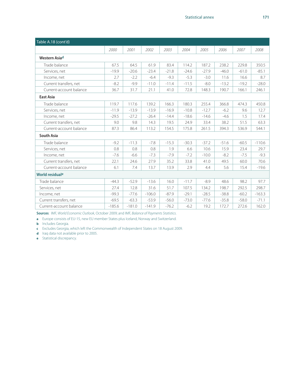| Table A.18 (cont'd)         |          |          |          |         |         |         |         |         |          |  |  |  |
|-----------------------------|----------|----------|----------|---------|---------|---------|---------|---------|----------|--|--|--|
|                             | 2000     | 2001     | 2002     | 2003    | 2004    | 2005    | 2006    | 2007    | 2008     |  |  |  |
| Western Asiad               |          |          |          |         |         |         |         |         |          |  |  |  |
| Trade balance               | 67.5     | 64.5     | 61.9     | 83.4    | 114.2   | 187.2   | 238.2   | 229.8   | 350.5    |  |  |  |
| Services, net               | $-19.9$  | $-20.6$  | $-23.4$  | $-21.8$ | $-24.6$ | $-27.9$ | $-46.0$ | $-61.0$ | $-85.1$  |  |  |  |
| Income, net                 | 2.7      | $-2.2$   | $-6.4$   | $-9.3$  | $-5.3$  | $-3.0$  | 11.6    | 16.6    | 8.7      |  |  |  |
| Current transfers, net      | $-8.2$   | $-9.9$   | $-11.0$  | $-11.4$ | $-11.5$ | $-8.0$  | $-13.2$ | $-19.2$ | $-28.0$  |  |  |  |
| Current-account balance     | 36.7     | 31.7     | 21.1     | 41.0    | 72.8    | 148.3   | 190.7   | 166.1   | 246.1    |  |  |  |
| <b>East Asia</b>            |          |          |          |         |         |         |         |         |          |  |  |  |
| Trade balance               | 119.7    | 117.6    | 139.2    | 166.3   | 180.3   | 255.4   | 366.8   | 474.3   | 450.8    |  |  |  |
| Services, net               | $-11.9$  | $-13.9$  | $-13.9$  | $-16.9$ | $-10.8$ | $-12.7$ | $-6.2$  | 9.6     | 12.7     |  |  |  |
| Income, net                 | $-29.5$  | $-27.2$  | $-26.4$  | $-14.4$ | $-18.6$ | $-14.6$ | $-4.6$  | 1.5     | 17.4     |  |  |  |
| Current transfers, net      | 9.0      | 9.8      | 14.3     | 19.5    | 24.9    | 33.4    | 38.2    | 51.5    | 63.3     |  |  |  |
| Current-account balance     | 87.3     | 86.4     | 113.2    | 154.5   | 175.8   | 261.5   | 394.3   | 536.9   | 544.1    |  |  |  |
| <b>South Asia</b>           |          |          |          |         |         |         |         |         |          |  |  |  |
| Trade balance               | $-9.2$   | $-11.3$  | $-7.8$   | $-15.3$ | $-30.3$ | $-37.2$ | $-51.6$ | $-60.5$ | $-110.6$ |  |  |  |
| Services, net               | 0.8      | 0.8      | 0.8      | 1.9     | 6.6     | 10.6    | 15.9    | 23.4    | 29.7     |  |  |  |
| Income, net                 | $-7.6$   | $-6.6$   | $-7.3$   | $-7.9$  | $-7.2$  | $-10.0$ | $-8.2$  | $-7.5$  | $-9.3$   |  |  |  |
| Current transfers, net      | 22.1     | 24.6     | 27.9     | 35.2    | 33.8    | 41.0    | 49.5    | 60.0    | 70.6     |  |  |  |
| Current-account balance     | 6.1      | 7.4      | 13.7     | 13.9    | 2.9     | 4.4     | 5.6     | 15.4    | $-19.6$  |  |  |  |
| World residual <sup>e</sup> |          |          |          |         |         |         |         |         |          |  |  |  |
| Trade balance               | $-44.3$  | $-52.9$  | $-13.6$  | 16.0    | $-11.7$ | $-8.9$  | 48.6    | 98.2    | 97.7     |  |  |  |
| Services, net               | 27.4     | 12.8     | 31.6     | 51.7    | 107.5   | 134.2   | 198.7   | 292.5   | 298.7    |  |  |  |
| Income, net                 | $-99.3$  | $-77.6$  | $-106.0$ | $-87.9$ | $-29.1$ | $-28.5$ | $-38.8$ | $-60.2$ | $-163.3$ |  |  |  |
| Current transfers, net      | $-69.5$  | $-63.3$  | $-53.9$  | $-56.0$ | $-73.0$ | $-77.6$ | $-35.8$ | $-58.0$ | $-71.1$  |  |  |  |
| Current-account balance     | $-185.6$ | $-181.0$ | $-141.9$ | $-76.2$ | $-6.2$  | 19.2    | 172.7   | 272.6   | 162.0    |  |  |  |

**Sources**: IMF, *World Economic Outlook*, October 2009; and IMF, *Balance of Payments Statistics*.

**a** Europe consists of EU-15, new EU member States plus Iceland, Norway and Switzerland.

**b** Includes Georgia.

**c** Excludes Georgia, which left the Commonwealth of Independent States on 18 August 2009.

**d** Iraq data not available prior to 2005.

**e** Statistical discrepancy.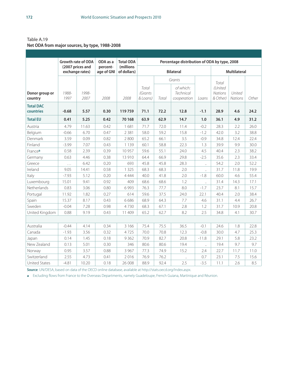Table A.19 **Net ODA from major sources, by type, 1988-2008**

|                               |               | <b>Growth rate of ODA</b>           | ODA as a               | <b>Total ODA</b>         | Percentage distribution of ODA by type, 2008 |       |                                              |                      |                                         |                          |       |
|-------------------------------|---------------|-------------------------------------|------------------------|--------------------------|----------------------------------------------|-------|----------------------------------------------|----------------------|-----------------------------------------|--------------------------|-------|
|                               |               | (2007 prices and<br>exchange rates) | percent-<br>age of GNI | (millions<br>of dollars) |                                              |       | <b>Bilateral</b>                             |                      |                                         | <b>Multilateral</b>      |       |
|                               |               |                                     |                        |                          |                                              |       | Grants                                       |                      |                                         |                          |       |
| Donor group or<br>country     | 1988-<br>1997 | 1998-<br>2007                       | 2008                   | 2008                     | Total<br><i>(Grants</i><br>& Loans)          | Total | of which:<br><b>Technical</b><br>cooperation | Loans                | Total<br>(United<br>Nations<br>& Other) | United<br><b>Nations</b> | Other |
| <b>Total DAC</b><br>countries | $-0.68$       | 5.57                                | 0.30                   | 119759                   | 71.1                                         | 72.2  | 12.8                                         | $-1.1$               | 28.9                                    | 4.6                      | 24.2  |
| <b>Total EU</b>               | 0.41          | 5.25                                | 0.42                   | 70 168                   | 63.9                                         | 62.9  | 14.7                                         | 1.0                  | 36.1                                    | 4.9                      | 31.2  |
| Austria                       | 4.79          | 11.63                               | 0.42                   | 1681                     | 71.7                                         | 72.0  | 11.4                                         | $-0.2$               | 28.3                                    | 2.2                      | 26.0  |
| Belgium                       | $-0.66$       | 6.70                                | 0.47                   | 2 3 8 1                  | 58.0                                         | 59.2  | 15.8                                         | $-1.2$               | 42.0                                    | 3.2                      | 38.8  |
| Denmark                       | 3.59          | 0.09                                | 0.82                   | 2800                     | 65.2                                         | 66.1  | 3.5                                          | $-0.9$               | 34.8                                    | 12.4                     | 22.4  |
| Finland                       | $-3.99$       | 7.07                                | 0.43                   | 1 1 3 9                  | 60.1                                         | 58.8  | 22.3                                         | 1.3                  | 39.9                                    | 9.9                      | 30.0  |
| France <sup>a</sup>           | 0.58          | 2.39                                | 0.39                   | 10 957                   | 59.6                                         | 55.1  | 24.0                                         | 4.5                  | 40.4                                    | 2.3                      | 38.2  |
| Germany                       | 0.63          | 4.46                                | 0.38                   | 13 910                   | 64.4                                         | 66.9  | 29.8                                         | $-2.5$               | 35.6                                    | 2.3                      | 33.4  |
| Greece                        | $\ldots$      | 6.42                                | 0.20                   | 693                      | 45.8                                         | 45.8  | 28.3                                         | $\ddot{\phantom{a}}$ | 54.2                                    | 2.0                      | 52.2  |
| Ireland                       | 9.05          | 14.41                               | 0.58                   | 1 3 2 5                  | 68.3                                         | 68.3  | 2.0                                          | $\bar{\mathcal{A}}$  | 31.7                                    | 11.8                     | 19.9  |
| Italy                         | $-7.93$       | 5.12                                | 0.20                   | 4 4 4 4                  | 40.0                                         | 41.8  | 2.0                                          | $-1.8$               | 60.0                                    | 4.6                      | 55.4  |
| Luxembourg                    | 15.01         | 9.41                                | 0.92                   | 409                      | 68.6                                         | 68.6  | 1.2                                          | $\ddot{\phantom{a}}$ | 31.4                                    | 14.3                     | 17.1  |
| Netherlands                   | 0.83          | 3.06                                | 0.80                   | 6993                     | 76.3                                         | 77.7  | 8.0                                          | $-1.7$               | 23.7                                    | 8.1                      | 15.7  |
| Portugal                      | 11.92         | 1.82                                | 0.27                   | 614                      | 59.6                                         | 37.5  | 24.0                                         | 22.1                 | 40.4                                    | 2.0                      | 38.4  |
| Spain                         | 15.37         | 8.17                                | 0.43                   | 6686                     | 68.9                                         | 64.3  | 7.7                                          | 4.6                  | 31.1                                    | 4.4                      | 26.7  |
| Sweden                        | $-0.04$       | 7.28                                | 0.98                   | 4730                     | 68.3                                         | 67.1  | 2.8                                          | 1.2                  | 31.7                                    | 10.9                     | 20.8  |
| United Kingdom                | 0.88          | 9.19                                | 0.43                   | 11 409                   | 65.2                                         | 62.7  | 8.2                                          | 2.5                  | 34.8                                    | 4.1                      | 30.7  |
|                               |               |                                     |                        |                          |                                              |       |                                              |                      |                                         |                          |       |
| Australia                     | $-0.44$       | 4.14                                | 0.34                   | 3 1 6 6                  | 75.4                                         | 75.5  | 36.5                                         | $-0.1$               | 24.6                                    | 1.8                      | 22.8  |
| Canada                        | $-1.93$       | 3.56                                | 0.32                   | 4725                     | 70.0                                         | 70.8  | 12.3                                         | $-0.8$               | 30.0                                    | 4.7                      | 25.3  |
| Japan                         | 0.14          | 1.45                                | 0.18                   | 9362                     | 70.9                                         | 82.7  | 20.8                                         | $-11.8$              | 29.1                                    | 5.8                      | 23.2  |
| New Zealand                   | 0.13          | 5.01                                | 0.30                   | 346                      | 80.6                                         | 80.6  | 19.4                                         | $\ddot{\phantom{1}}$ | 19.4                                    | 9.7                      | 9.7   |
| Norway                        | 0.95          | 3.57                                | 0.88                   | 3 9 6 7                  | 77.3                                         | 74.9  | 15.2                                         | 2.4                  | 22.7                                    | 11.7                     | 11.0  |
| Switzerland                   | 2.55          | 4.73                                | 0.41                   | 2016                     | 76.9                                         | 76.2  | $\ddotsc$                                    | 0.7                  | 23.1                                    | 7.5                      | 15.6  |
| <b>United States</b>          | $-4.81$       | 10.20                               | 0.18                   | 26 008                   | 88.9                                         | 92.4  | 2.5                                          | $-3.5$               | 11.1                                    | 2.6                      | 8.5   |

**Source**: UN/DESA, based on data of the OECD online database, available at http://stats.oecd.org/Index.aspx.

**a** Excluding flows from France to the Overseas Departments, namely Guadeloupe, French Guiana, Martinique and Réunion.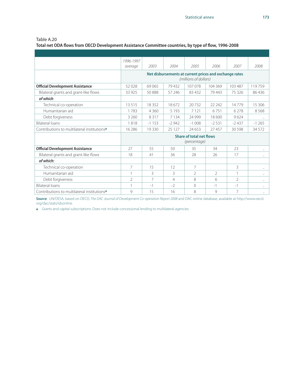**Total net ODA flows from OECD Development Assistance Committee countries, by type of flow, 1996-2008**

|                                                         | 1996-1997      |          |         |                                                                                 |         |                |           |
|---------------------------------------------------------|----------------|----------|---------|---------------------------------------------------------------------------------|---------|----------------|-----------|
|                                                         | average        | 2003     | 2004    | 2005                                                                            | 2006    | 2007           | 2008      |
|                                                         |                |          |         | Net disbursements at current prices and exchange rates<br>(millions of dollars) |         |                |           |
| <b>Official Development Assistance</b>                  | 52028          | 69065    | 79432   | 107078                                                                          | 104 369 | 103 487        | 119759    |
| Bilateral grants and grant-like flows                   | 33 925         | 50888    | 57 246  | 83 432                                                                          | 79 443  | 75326          | 86436     |
| of which:                                               |                |          |         |                                                                                 |         |                |           |
| Technical co-operation                                  | 13515          | 18 3 5 2 | 18672   | 20732                                                                           | 22 24 2 | 14779          | 15 30 6   |
| Humanitarian aid                                        | 1783           | 4 3 6 0  | 5 1 9 3 | 7 1 2 1                                                                         | 6751    | 6 2 7 8        | 8568      |
| Debt forgiveness                                        | 3 260          | 8317     | 7 1 3 4 | 24 9 9 9                                                                        | 18600   | 9624           | $\ddotsc$ |
| <b>Bilateral loans</b>                                  | 1818           | $-1153$  | $-2942$ | $-1008$                                                                         | $-2531$ | $-2437$        | $-1265$   |
| Contributions to multilateral institutions <sup>a</sup> | 16 28 6        | 19 3 30  | 25 1 27 | 24 653                                                                          | 27457   | 30 5 98        | 34 5 7 2  |
|                                                         |                |          |         | <b>Share of total net flows</b><br>(percentage)                                 |         |                |           |
| <b>Official Development Assistance</b>                  | 27             | 55       | 50      | 35                                                                              | 34      | 23             |           |
| Bilateral grants and grant-like flows                   | 18             | 41       | 36      | 28                                                                              | 26      | 17             | $\cdots$  |
| of which:                                               |                |          |         |                                                                                 |         |                |           |
| Technical co-operation                                  | 7              | 15       | 12      | 7                                                                               |         | 3              |           |
| Humanitarian aid                                        |                | 3        | 3       | $\mathfrak{D}$                                                                  | 2       |                | $\ddotsc$ |
| Debt forgiveness                                        | $\mathfrak{D}$ | 7        | 4       | 8                                                                               | 6       | $\mathfrak{D}$ | $\ddotsc$ |
| <b>Bilateral loans</b>                                  |                | $-1$     | $-2$    | $\Omega$                                                                        | $-1$    | $-1$           | $\ldots$  |
| Contributions to multilateral institutions <sup>a</sup> | 9              | 15       | 16      | 8                                                                               | 9       | 7              | $\ddotsc$ |

**Source**: UN/DESA, based on OECD, *The DAC Journal of Development Co-operation Report 2008* and DAC online database, available at http://www.oecd. org/dac/stats/idsonline.

**a** Grants and capital subscriptions. Does not include concessional lending to multilateral agencies.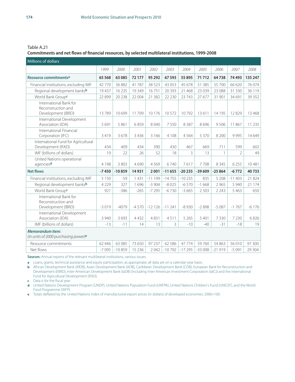#### **Commitments and net flows of financial resources, by selected multilateral institutions, 1999-2008**

| Millions of dollars                                                |         |          |         |          |          |          |          |              |                |         |
|--------------------------------------------------------------------|---------|----------|---------|----------|----------|----------|----------|--------------|----------------|---------|
|                                                                    | 1999    | 2000     | 2001    | 2002     | 2003     | 2004     | 2005     | 2006         | 2007           | 2008    |
| Resource commitments <sup>a</sup>                                  | 65 5 68 | 63 085   | 72 177  | 95 292   | 67 593   | 55 895   | 71712    | 64738        | 74 4 93        | 135 247 |
| Financial institutions, excluding IMF                              | 42770   | 36 882   | 41787   | 38 5 23  | 43 053   | 45 678   | 51 385   | 55 700       | 66 620         | 76 0 74 |
| Regional development banksb                                        | 19437   | 16 2 35  | 19 3 49 | 16751    | 20 3 9 3 | 21 4 68  | 23 0 39  | 23 088       | 31 3 30        | 36 119  |
| World Bank Groupc                                                  | 22899   | 20 238   | 22 004  | 21 3 8 2 | 22 2 30  | 23 743   | 27 677   | 31 901       | 34 691         | 39 35 2 |
| International Bank for<br>Reconstruction and<br>Development (IBRD) | 13789   | 10699    | 11709   | 10 1 7 6 | 10572    | 10792    | 13611    | 14 195       | 12829          | 13 4 68 |
| International Development<br>Association (IDA)                     | 5691    | 5861     | 6859    | 8040     | 7550     | 8387     | 8696     | 9506         | 11867          | 11 2 35 |
| International Financial<br>Corporation (IFC)                       | 3419    | 3678     | 3 4 3 6 | 3 1 6 6  | 4 1 0 8  | 4564     | 5 3 7 0  | 8 2 0 0      | 9995           | 14 649  |
| International Fund for Agricultural<br>Development (IFAD)          | 434     | 409      | 434     | 390      | 430      | 467      | 669      | 711          | 599            | 602     |
| IMF (billions of dollars)                                          | 19      | 22       | 26      | 52       | 18       | 3        | 13       | $\mathbf{1}$ | $\overline{2}$ | 49      |
| United Nations operational<br>agenciesd                            | 4 1 9 8 | 3803     | 4690    | 4569     | 6740     | 7617     | 7708     | 8 3 4 5      | 6 2 5 5        | 10481   |
| <b>Net flows</b>                                                   | $-7450$ | $-10859$ | 14931   | 2001     | $-11655$ | $-20235$ | $-39609$ | $-25864$     | $-6772$        | 40733   |
| Financial institutions, excluding IMF                              | 5 1 5 0 | $-59$    | 1 4 3 1 | $-11199$ | $-14755$ | $-10235$ | 835      | 5 2 0 8      | $-11403$       | 21824   |
| Regional development banksb                                        | 4 2 2 9 | 327      | 1696    | $-3904$  | $-8025$  | $-6570$  | $-1668$  | 2 9 6 5      | 5 9 4 0        | 21 174  |
| World Bank Group <sup>c</sup>                                      | 921     | $-386$   | $-265$  | $-7295$  | $-6730$  | $-3665$  | 2 5 0 3  | 2 2 4 3      | 5 4 6 3        | 650     |
| International Bank for<br>Reconstruction and<br>Development (IBRD) | $-3019$ | $-4079$  | $-4570$ | $-12126$ | $-11241$ | $-8930$  | $-2898$  | $-5087$      | $-1767$        | $-6176$ |
| International Development<br>Association (IDA)                     | 3 9 4 0 | 3693     | 4432    | 4831     | 4511     | 5 2 6 5  | 5401     | 7330         | 7 2 3 0        | 6826    |
| IMF (billions of dollars)                                          | $-13$   | $-11$    | 14      | 13       | 3        | $-10$    | $-40$    | $-31$        | $-18$          | 19      |
| <b>Memorandum item:</b><br>(in units of 2000 purchasing power)e    |         |          |         |          |          |          |          |              |                |         |
| Resource commitments                                               | 62 446  | 63 085   | 73 650  | 97 237   | 62 586   | 47 7 7 4 | 59760    | 54 863       | 56 010         | 97 300  |
| Net flows                                                          | $-7095$ | $-10859$ | 15 2 36 | 2042     | $-10792$ | $-17295$ | $-33008$ | $-21919$     | $-5091$        | 29 304  |

**Sources:** Annual reports of the relevant multilateral institutions, various issues.

**a** Loans, grants, technical assistance and equity participation, as appropriate; all data are on a calendar-year basis.

**b** African Development Bank (AfDB), Asian Development Bank (ADB), Caribbean Development Bank (CDB), European Bank for Reconstruction and Development (EBRD), Inter-American Development Bank (IaDB) (including Inter-American Investment Corporation (IaIC)) and the International Fund for Agricultural Development (IFAD).

**c** Data is for the fiscal year.

**d** United Nations Development Program (UNDP), United Nations Population Fund (UNFPA), United Nations Children's Fund (UNICEF), and the World Food Programme (WFP).

**e** Totals deflated by the United Nations index of manufactured export prices (in dollars) of developed economies: 2000=100.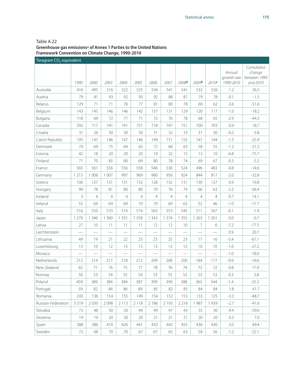#### Table A.22 **Greenhouse gas emissionsa of Annex 1 Parties to the United Nations Framework Convention on Climate Change, 1990-2010**

| Teragram CO <sub>2</sub> equivalent |                          |                |                          |                |         |                |                 |                   |                   |                 |                                    |                                                  |
|-------------------------------------|--------------------------|----------------|--------------------------|----------------|---------|----------------|-----------------|-------------------|-------------------|-----------------|------------------------------------|--------------------------------------------------|
|                                     | 1990                     | 2000           | 2003                     | 2004           | 2005    | 2006           | 2007            | 2008 <sub>b</sub> | 2009 <sub>b</sub> | 2010c           | Annual<br>growth rate<br>1990-2010 | Cumulative<br>change<br>between 1990<br>and 2010 |
| Australia                           | 416                      | 495            | 516                      | 522            | 525     | 534            | 541             | 541               | 532               | 526             | 1.2                                | 26.5                                             |
| Austria                             | 79                       | 81             | 93                       | 92             | 93      | 92             | 88              | 87                | 79                | 78              | $-0.1$                             | $-1.5$                                           |
| Belarus                             | 129                      | 71             | 71                       | 76             | 77      | 81             | 80              | 78                | 69                | 62              | $-3.6$                             | $-51.6$                                          |
| Belgium                             | 143                      | 145            | 146                      | 146            | 142     | 137            | 131             | 129               | 120               | 117             | $-1.0$                             | $-18.2$                                          |
| Bulgaria                            | 118                      | 69             | 72                       | 71             | 71      | 72             | 76              | 78                | 68                | 65              | $-2.9$                             | $-44.3$                                          |
| Canada                              | 592                      | 717            | 741                      | 741            | 731     | 718            | 747             | 751               | 700               | 703             | 0.9                                | 18.7                                             |
| Croatia                             | 31                       | 26             | 30                       | 30             | 30      | 31             | 32              | 33                | 31                | 30              | $-0.2$                             | $-3.8$                                           |
| Czech Republic                      | 195                      | 147            | 146                      | 147            | 146     | 149            | 151             | 155               | 147               | 144             | $-1.5$                             | $-25.9$                                          |
| Denmark                             | 70                       | 69             | 75                       | 69             | 65      | 72             | 68              | 63                | 58                | 55              | $-1.2$                             | $-21.2$                                          |
| Estonia                             | 42                       | 18             | 20                       | 20             | 20      | 19             | 22              | 15                | 13                | 10              | $-6.8$                             | $-75.7$                                          |
| Finland                             | 71                       | 70             | 85                       | 80             | 69      | 80             | 78              | 74                | 69                | 67              | $-0.3$                             | $-5.2$                                           |
| France                              | 565                      | 561            | 556                      | 556            | 558     | 546            | 536             | 524               | 496               | 483             | $-0.8$                             | $-14.6$                                          |
| Germany                             | 1 2 1 5                  | 1 0 0 8        | 1 0 0 7                  | 997            | 969     | 980            | 956             | 924               | 844               | 817             | $-2.0$                             | $-32.8$                                          |
| Greece                              | 106                      | 127            | 131                      | 131            | 132     | 128            | 132             | 131               | 130               | 127             | 0.9                                | 19.8                                             |
| Hungary                             | 99                       | 78             | 81                       | 80             | 80      | 79             | 76              | 74                | 66                | 63              | $-2.2$                             | $-36.4$                                          |
| Iceland                             | 3                        | $\overline{4}$ | $\overline{4}$           | $\overline{4}$ | 4       | $\overline{4}$ | $\overline{4}$  | 4                 | $\overline{4}$    | $\overline{4}$  | 0.7                                | 14.1                                             |
| Ireland                             | 55                       | 69             | 69                       | 69             | 70      | 70             | 69              | 62                | 52                | 46              | $-1.0$                             | $-17.7$                                          |
| Italy                               | 516                      | 550            | 570                      | 574            | 574     | 563            | 553             | 545               | 511               | 507             | $-0.1$                             | $-1.9$                                           |
| Japan                               | 1 2 7 0                  | 1 3 4 6        | 1 3 6 0                  | 1 3 5 5        | 1 3 5 8 | 1 3 4 2        | 1 3 7 4         | 1 3 5 5           | 1 2 6 3           | 1 2 6 1         | 0.0                                | $-0.7$                                           |
| Latvia                              | 27                       | 10             | 11                       | 11             | 11      | 12             | 12              | 10                | $\overline{7}$    | 6               | $-7.2$                             | $-77.5$                                          |
| Liechtenstein                       |                          |                |                          |                |         |                |                 |                   |                   |                 | 0.9                                | 20.7                                             |
| Lithuania                           | 49                       | 19             | 21                       | 22             | 23      | 23             | 25              | 23                | 17                | 16              | $-5.4$                             | $-67.1$                                          |
| Luxembourg                          | 13                       | 10             | 12                       | 13             | 13      | 13             | 13              | 12                | 10                | 10              | $-1.6$                             | $-27.2$                                          |
| Monaco                              | $\overline{\phantom{0}}$ |                | $\overline{\phantom{0}}$ |                |         |                | $\qquad \qquad$ |                   |                   | $\qquad \qquad$ | $-1.0$                             | $-18.0$                                          |
| Netherlands                         | 212                      | 214            | 217                      | 218            | 212     | 209            | 208             | 200               | 184               | 177             | $-0.9$                             | $-16.6$                                          |
| New Zealand                         | 62                       | 71             | 76                       | 75             | 77      | 78             | 76              | 74                | 72                | 72              | 0.8                                | 17.0                                             |
| Norway                              | 50                       | 53             | 54                       | 55             | 54      | 53             | 55              | 55                | 53                | 53              | 0.3                                | 5.8                                              |
| Poland                              | 459                      | 389            | 384                      | 384            | 387     | 399            | 399             | 388               | 363               | 344             | $-1.4$                             | $-25.2$                                          |
| Portugal                            | 59                       | 82             | 84                       | 86             | 89      | 85             | 82              | 85                | 84                | 84              | 1.8                                | 41.7                                             |
| Romania                             | 243                      | 136            | 154                      | 155            | 149     | 154            | 152             | 153               | 133               | 125             | $-3.3$                             | $-48.7$                                          |
| Russian Federation                  | 3 3 1 9                  | 2030           | 2098                     | 2 1 1 3        | 2 1 1 8 | 2 1 8 6        | 2 1 9 3         | 2 2 1 8           | 1987              | 1939            | $-2.7$                             | $-41.6$                                          |
| Slovakia                            | 73                       | 48             | 50                       | 50             | 49      | 49             | 47              | 43                | 35                | 30              | $-4.4$                             | $-59.6$                                          |
| Slovenia                            | 19                       | 19             | 20                       | 20             | 20      | 21             | 21              | 21                | 20                | 20              | 0.3                                | 7.0                                              |
| Spain                               | 288                      | 386            | 410                      | 426            | 441     | 433            | 442             | 455               | 436               | 430             | 2.0                                | 49.4                                             |
| Sweden                              | 72                       | 68             | $70\,$                   | $70\,$         | 67      | 67             | 65              | 63                | 58                | 56              | $-1.2$                             | $-22.1$                                          |